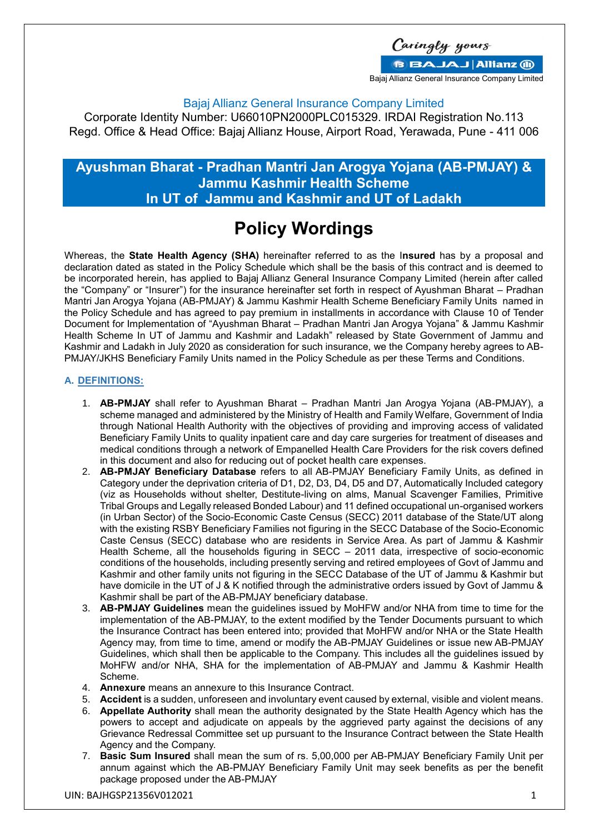Caringly yours **BBAJAJ Allianz (ii)** Bajaj Allianz General Insurance Company Limited

### Bajaj Allianz General Insurance Company Limited

Corporate Identity Number: U66010PN2000PLC015329. IRDAI Registration No.113 Regd. Office & Head Office: Bajaj Allianz House, Airport Road, Yerawada, Pune - 411 006

## **Ayushman Bharat - Pradhan Mantri Jan Arogya Yojana (AB-PMJAY) & Jammu Kashmir Health Scheme In UT of Jammu and Kashmir and UT of Ladakh**

# **Policy Wordings**

Whereas, the **State Health Agency (SHA)** hereinafter referred to as the I**nsured** has by a proposal and declaration dated as stated in the Policy Schedule which shall be the basis of this contract and is deemed to be incorporated herein, has applied to Bajaj Allianz General Insurance Company Limited (herein after called the "Company" or "Insurer") for the insurance hereinafter set forth in respect of Ayushman Bharat – Pradhan Mantri Jan Arogya Yojana (AB-PMJAY) & Jammu Kashmir Health Scheme Beneficiary Family Units named in the Policy Schedule and has agreed to pay premium in installments in accordance with Clause 10 of Tender Document for Implementation of "Ayushman Bharat – Pradhan Mantri Jan Arogya Yojana" & Jammu Kashmir Health Scheme In UT of Jammu and Kashmir and Ladakh" released by State Government of Jammu and Kashmir and Ladakh in July 2020 as consideration for such insurance, we the Company hereby agrees to AB-PMJAY/JKHS Beneficiary Family Units named in the Policy Schedule as per these Terms and Conditions.

### **A. DEFINITIONS:**

- 1. **AB-PMJAY** shall refer to Ayushman Bharat Pradhan Mantri Jan Arogya Yojana (AB-PMJAY), a scheme managed and administered by the Ministry of Health and Family Welfare, Government of India through National Health Authority with the objectives of providing and improving access of validated Beneficiary Family Units to quality inpatient care and day care surgeries for treatment of diseases and medical conditions through a network of Empanelled Health Care Providers for the risk covers defined in this document and also for reducing out of pocket health care expenses.
- 2. **AB-PMJAY Beneficiary Database** refers to all AB-PMJAY Beneficiary Family Units, as defined in Category under the deprivation criteria of D1, D2, D3, D4, D5 and D7, Automatically Included category (viz as Households without shelter, Destitute-living on alms, Manual Scavenger Families, Primitive Tribal Groups and Legally released Bonded Labour) and 11 defined occupational un-organised workers (in Urban Sector) of the Socio-Economic Caste Census (SECC) 2011 database of the State/UT along with the existing RSBY Beneficiary Families not figuring in the SECC Database of the Socio-Economic Caste Census (SECC) database who are residents in Service Area. As part of Jammu & Kashmir Health Scheme, all the households figuring in SECC – 2011 data, irrespective of socio-economic conditions of the households, including presently serving and retired employees of Govt of Jammu and Kashmir and other family units not figuring in the SECC Database of the UT of Jammu & Kashmir but have domicile in the UT of J & K notified through the administrative orders issued by Govt of Jammu & Kashmir shall be part of the AB-PMJAY beneficiary database.
- 3. **AB-PMJAY Guidelines** mean the guidelines issued by MoHFW and/or NHA from time to time for the implementation of the AB-PMJAY, to the extent modified by the Tender Documents pursuant to which the Insurance Contract has been entered into; provided that MoHFW and/or NHA or the State Health Agency may, from time to time, amend or modify the AB-PMJAY Guidelines or issue new AB-PMJAY Guidelines, which shall then be applicable to the Company. This includes all the guidelines issued by MoHFW and/or NHA, SHA for the implementation of AB-PMJAY and Jammu & Kashmir Health Scheme.
- 4. **Annexure** means an annexure to this Insurance Contract.
- 5. **Accident** is a sudden, unforeseen and involuntary event caused by external, visible and violent means.
- 6. **Appellate Authority** shall mean the authority designated by the State Health Agency which has the powers to accept and adjudicate on appeals by the aggrieved party against the decisions of any Grievance Redressal Committee set up pursuant to the Insurance Contract between the State Health Agency and the Company.
- 7. **Basic Sum Insured** shall mean the sum of rs. 5,00,000 per AB-PMJAY Beneficiary Family Unit per annum against which the AB-PMJAY Beneficiary Family Unit may seek benefits as per the benefit package proposed under the AB-PMJAY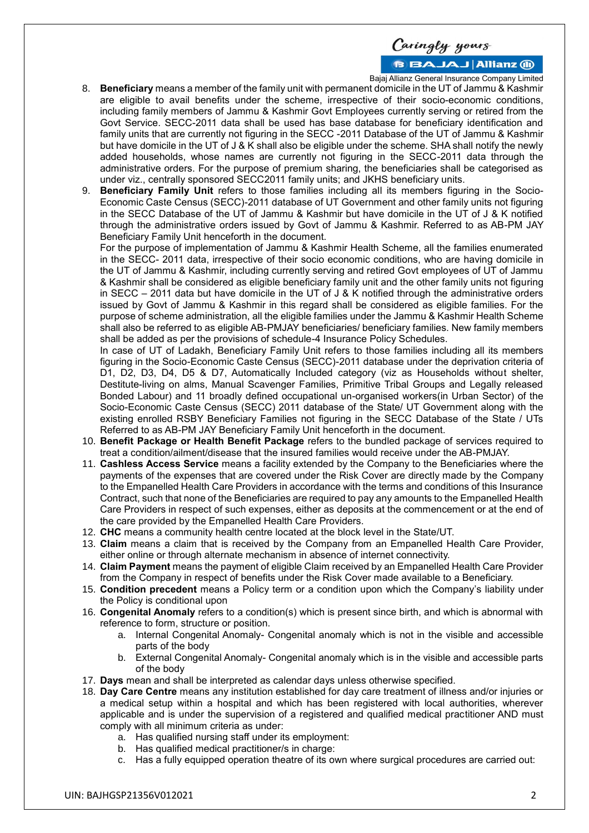Caringly yours **BBAJAJ Allianz (ii)** 

Bajaj Allianz General Insurance Company Limited

- 8. **Beneficiary** means a member of the family unit with permanent domicile in the UT of Jammu & Kashmir are eligible to avail benefits under the scheme, irrespective of their socio-economic conditions, including family members of Jammu & Kashmir Govt Employees currently serving or retired from the Govt Service. SECC-2011 data shall be used has base database for beneficiary identification and family units that are currently not figuring in the SECC -2011 Database of the UT of Jammu & Kashmir but have domicile in the UT of J & K shall also be eligible under the scheme. SHA shall notify the newly added households, whose names are currently not figuring in the SECC-2011 data through the administrative orders. For the purpose of premium sharing, the beneficiaries shall be categorised as under viz., centrally sponsored SECC2011 family units; and JKHS beneficiary units.
- 9. **Beneficiary Family Unit** refers to those families including all its members figuring in the Socio-Economic Caste Census (SECC)-2011 database of UT Government and other family units not figuring in the SECC Database of the UT of Jammu & Kashmir but have domicile in the UT of J & K notified through the administrative orders issued by Govt of Jammu & Kashmir. Referred to as AB-PM JAY Beneficiary Family Unit henceforth in the document.

For the purpose of implementation of Jammu & Kashmir Health Scheme, all the families enumerated in the SECC- 2011 data, irrespective of their socio economic conditions, who are having domicile in the UT of Jammu & Kashmir, including currently serving and retired Govt employees of UT of Jammu & Kashmir shall be considered as eligible beneficiary family unit and the other family units not figuring in SECC – 2011 data but have domicile in the UT of J & K notified through the administrative orders issued by Govt of Jammu & Kashmir in this regard shall be considered as eligible families. For the purpose of scheme administration, all the eligible families under the Jammu & Kashmir Health Scheme shall also be referred to as eligible AB-PMJAY beneficiaries/ beneficiary families. New family members shall be added as per the provisions of schedule-4 Insurance Policy Schedules.

In case of UT of Ladakh, Beneficiary Family Unit refers to those families including all its members figuring in the Socio-Economic Caste Census (SECC)-2011 database under the deprivation criteria of D1, D2, D3, D4, D5 & D7, Automatically Included category (viz as Households without shelter, Destitute-living on alms, Manual Scavenger Families, Primitive Tribal Groups and Legally released Bonded Labour) and 11 broadly defined occupational un-organised workers(in Urban Sector) of the Socio-Economic Caste Census (SECC) 2011 database of the State/ UT Government along with the existing enrolled RSBY Beneficiary Families not figuring in the SECC Database of the State / UTs Referred to as AB-PM JAY Beneficiary Family Unit henceforth in the document.

- 10. **Benefit Package or Health Benefit Package** refers to the bundled package of services required to treat a condition/ailment/disease that the insured families would receive under the AB-PMJAY.
- 11. **Cashless Access Service** means a facility extended by the Company to the Beneficiaries where the payments of the expenses that are covered under the Risk Cover are directly made by the Company to the Empanelled Health Care Providers in accordance with the terms and conditions of this Insurance Contract, such that none of the Beneficiaries are required to pay any amounts to the Empanelled Health Care Providers in respect of such expenses, either as deposits at the commencement or at the end of the care provided by the Empanelled Health Care Providers.
- 12. **CHC** means a community health centre located at the block level in the State/UT.
- 13. **Claim** means a claim that is received by the Company from an Empanelled Health Care Provider, either online or through alternate mechanism in absence of internet connectivity.
- 14. **Claim Payment** means the payment of eligible Claim received by an Empanelled Health Care Provider from the Company in respect of benefits under the Risk Cover made available to a Beneficiary.
- 15. **Condition precedent** means a Policy term or a condition upon which the Company's liability under the Policy is conditional upon
- 16. **Congenital Anomaly** refers to a condition(s) which is present since birth, and which is abnormal with reference to form, structure or position.
	- a. Internal Congenital Anomaly- Congenital anomaly which is not in the visible and accessible parts of the body
	- b. External Congenital Anomaly- Congenital anomaly which is in the visible and accessible parts of the body
- 17. **Days** mean and shall be interpreted as calendar days unless otherwise specified.
- 18. **Day Care Centre** means any institution established for day care treatment of illness and/or injuries or a medical setup within a hospital and which has been registered with local authorities, wherever applicable and is under the supervision of a registered and qualified medical practitioner AND must comply with all minimum criteria as under:
	- a. Has qualified nursing staff under its employment:
	- b. Has qualified medical practitioner/s in charge:
	- c. Has a fully equipped operation theatre of its own where surgical procedures are carried out: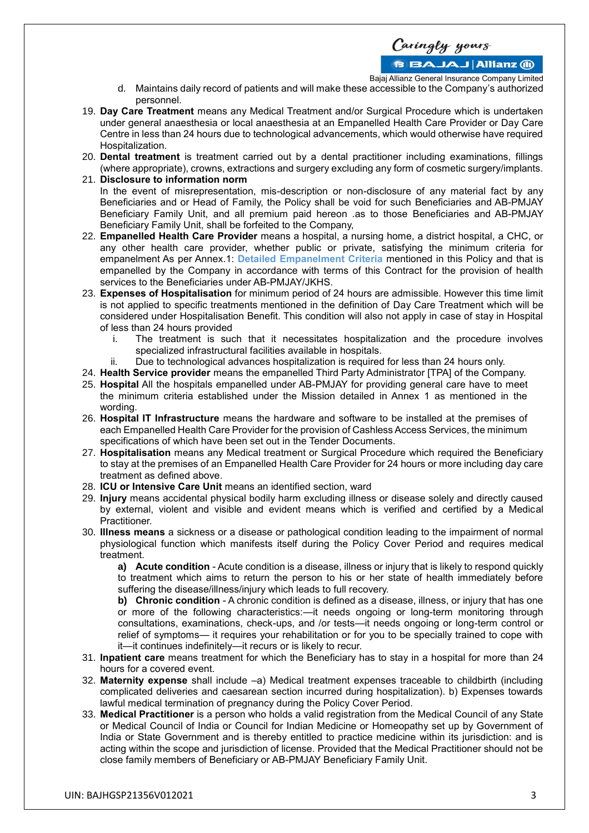**BBAJAJ Allianz (ii)** 

Bajaj Allianz General Insurance Company Limited

- d. Maintains daily record of patients and will make these accessible to the Company's authorized personnel.
- 19. **Day Care Treatment** means any Medical Treatment and/or Surgical Procedure which is undertaken under general anaesthesia or local anaesthesia at an Empanelled Health Care Provider or Day Care Centre in less than 24 hours due to technological advancements, which would otherwise have required Hospitalization.
- 20. **Dental treatment** is treatment carried out by a dental practitioner including examinations, fillings (where appropriate), crowns, extractions and surgery excluding any form of cosmetic surgery/implants.
- 21. **Disclosure to information norm** In the event of misrepresentation, mis-description or non-disclosure of any material fact by any Beneficiaries and or Head of Family, the Policy shall be void for such Beneficiaries and AB-PMJAY Beneficiary Family Unit, and all premium paid hereon .as to those Beneficiaries and AB-PMJAY Beneficiary Family Unit, shall be forfeited to the Company,
- 22. **Empanelled Health Care Provider** means a hospital, a nursing home, a district hospital, a CHC, or any other health care provider, whether public or private, satisfying the minimum criteria for empanelment As per Annex.1: **Detailed Empanelment Criteria** mentioned in this Policy and that is empanelled by the Company in accordance with terms of this Contract for the provision of health services to the Beneficiaries under AB-PMJAY/JKHS.
- 23. **Expenses of Hospitalisation** for minimum period of 24 hours are admissible. However this time limit is not applied to specific treatments mentioned in the definition of Day Care Treatment which will be considered under Hospitalisation Benefit. This condition will also not apply in case of stay in Hospital of less than 24 hours provided
	- i. The treatment is such that it necessitates hospitalization and the procedure involves specialized infrastructural facilities available in hospitals.
	- ii. Due to technological advances hospitalization is required for less than 24 hours only.
- 24. **Health Service provider** means the empanelled Third Party Administrator [TPA] of the Company.
- 25. **Hospital** All the hospitals empanelled under AB-PMJAY for providing general care have to meet the minimum criteria established under the Mission detailed in Annex 1 as mentioned in the wording.
- 26. **Hospital IT Infrastructure** means the hardware and software to be installed at the premises of each Empanelled Health Care Provider for the provision of Cashless Access Services, the minimum specifications of which have been set out in the Tender Documents.
- 27. **Hospitalisation** means any Medical treatment or Surgical Procedure which required the Beneficiary to stay at the premises of an Empanelled Health Care Provider for 24 hours or more including day care treatment as defined above.
- 28. **ICU or Intensive Care Unit** means an identified section, ward
- 29. **Injury** means accidental physical bodily harm excluding illness or disease solely and directly caused by external, violent and visible and evident means which is verified and certified by a Medical Practitioner.
- 30. **Illness means** a sickness or a disease or pathological condition leading to the impairment of normal physiological function which manifests itself during the Policy Cover Period and requires medical treatment.

**a) Acute condition** - Acute condition is a disease, illness or injury that is likely to respond quickly to treatment which aims to return the person to his or her state of health immediately before suffering the disease/illness/injury which leads to full recovery.

**b) Chronic condition** - A chronic condition is defined as a disease, illness, or injury that has one or more of the following characteristics:—it needs ongoing or long-term monitoring through consultations, examinations, check-ups, and /or tests—it needs ongoing or long-term control or relief of symptoms— it requires your rehabilitation or for you to be specially trained to cope with it—it continues indefinitely—it recurs or is likely to recur.

- 31. **Inpatient care** means treatment for which the Beneficiary has to stay in a hospital for more than 24 hours for a covered event.
- 32. **Maternity expense** shall include –a) Medical treatment expenses traceable to childbirth (including complicated deliveries and caesarean section incurred during hospitalization). b) Expenses towards lawful medical termination of pregnancy during the Policy Cover Period.
- 33. **Medical Practitioner** is a person who holds a valid registration from the Medical Council of any State or Medical Council of India or Council for Indian Medicine or Homeopathy set up by Government of India or State Government and is thereby entitled to practice medicine within its jurisdiction: and is acting within the scope and jurisdiction of license. Provided that the Medical Practitioner should not be close family members of Beneficiary or AB-PMJAY Beneficiary Family Unit.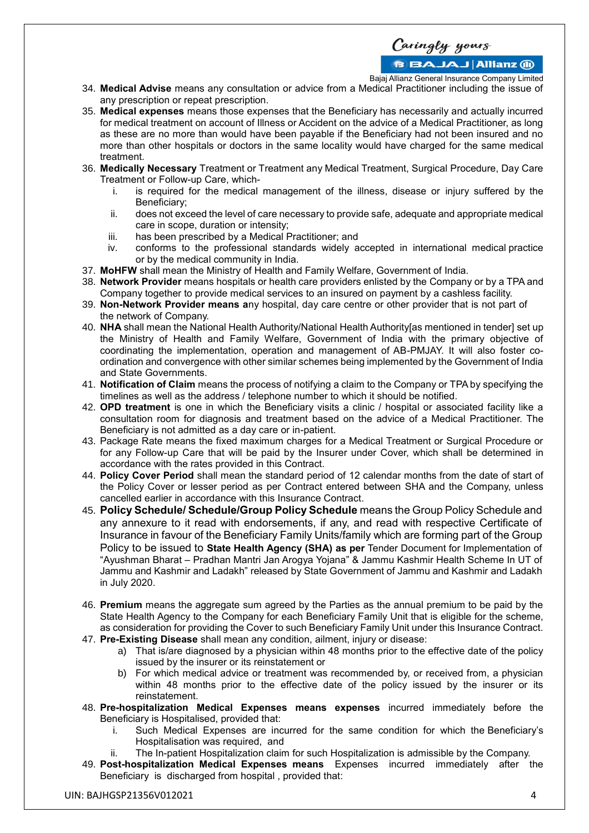**BBAJAJ Allianz M** 

Bajaj Allianz General Insurance Company Limited

- 34. **Medical Advise** means any consultation or advice from a Medical Practitioner including the issue of any prescription or repeat prescription.
- 35. **Medical expenses** means those expenses that the Beneficiary has necessarily and actually incurred for medical treatment on account of Illness or Accident on the advice of a Medical Practitioner, as long as these are no more than would have been payable if the Beneficiary had not been insured and no more than other hospitals or doctors in the same locality would have charged for the same medical treatment.
- 36. **Medically Necessary** Treatment or Treatment any Medical Treatment, Surgical Procedure, Day Care Treatment or Follow-up Care, which
	- i. is required for the medical management of the illness, disease or injury suffered by the Beneficiary;
	- ii. does not exceed the level of care necessary to provide safe, adequate and appropriate medical care in scope, duration or intensity;
	- iii. has been prescribed by a Medical Practitioner; and
	- iv. conforms to the professional standards widely accepted in international medical practice or by the medical community in India.
- 37. **MoHFW** shall mean the Ministry of Health and Family Welfare, Government of India.
- 38. **Network Provider** means hospitals or health care providers enlisted by the Company or by a TPA and Company together to provide medical services to an insured on payment by a cashless facility.
- 39. **Non-Network Provider means a**ny hospital, day care centre or other provider that is not part of the network of Company.
- 40. **NHA** shall mean the National Health Authority/National Health Authority[as mentioned in tender] set up the Ministry of Health and Family Welfare, Government of India with the primary objective of coordinating the implementation, operation and management of AB-PMJAY. It will also foster coordination and convergence with other similar schemes being implemented by the Government of India and State Governments.
- 41. **Notification of Claim** means the process of notifying a claim to the Company or TPA by specifying the timelines as well as the address / telephone number to which it should be notified.
- 42. **OPD treatment** is one in which the Beneficiary visits a clinic / hospital or associated facility like a consultation room for diagnosis and treatment based on the advice of a Medical Practitioner. The Beneficiary is not admitted as a day care or in-patient.
- 43. Package Rate means the fixed maximum charges for a Medical Treatment or Surgical Procedure or for any Follow-up Care that will be paid by the Insurer under Cover, which shall be determined in accordance with the rates provided in this Contract.
- 44. **Policy Cover Period** shall mean the standard period of 12 calendar months from the date of start of the Policy Cover or lesser period as per Contract entered between SHA and the Company, unless cancelled earlier in accordance with this Insurance Contract.
- 45. **Policy Schedule/ Schedule/Group Policy Schedule** means the Group Policy Schedule and any annexure to it read with endorsements, if any, and read with respective Certificate of Insurance in favour of the Beneficiary Family Units/family which are forming part of the Group Policy to be issued to **State Health Agency (SHA) as per** Tender Document for Implementation of "Ayushman Bharat – Pradhan Mantri Jan Arogya Yojana" & Jammu Kashmir Health Scheme In UT of Jammu and Kashmir and Ladakh" released by State Government of Jammu and Kashmir and Ladakh in July 2020.
- 46. **Premium** means the aggregate sum agreed by the Parties as the annual premium to be paid by the State Health Agency to the Company for each Beneficiary Family Unit that is eligible for the scheme, as consideration for providing the Cover to such Beneficiary Family Unit under this Insurance Contract.
- 47. **Pre-Existing Disease** shall mean any condition, ailment, injury or disease:
	- a) That is/are diagnosed by a physician within 48 months prior to the effective date of the policy issued by the insurer or its reinstatement or
	- b) For which medical advice or treatment was recommended by, or received from, a physician within 48 months prior to the effective date of the policy issued by the insurer or its reinstatement.
- 48. **Pre-hospitalization Medical Expenses means expenses** incurred immediately before the Beneficiary is Hospitalised, provided that:
	- i. Such Medical Expenses are incurred for the same condition for which the Beneficiary's Hospitalisation was required, and
	- ii. The In-patient Hospitalization claim for such Hospitalization is admissible by the Company.
- 49. **Post-hospitalization Medical Expenses means** Expenses incurred immediately after the Beneficiary is discharged from hospital , provided that: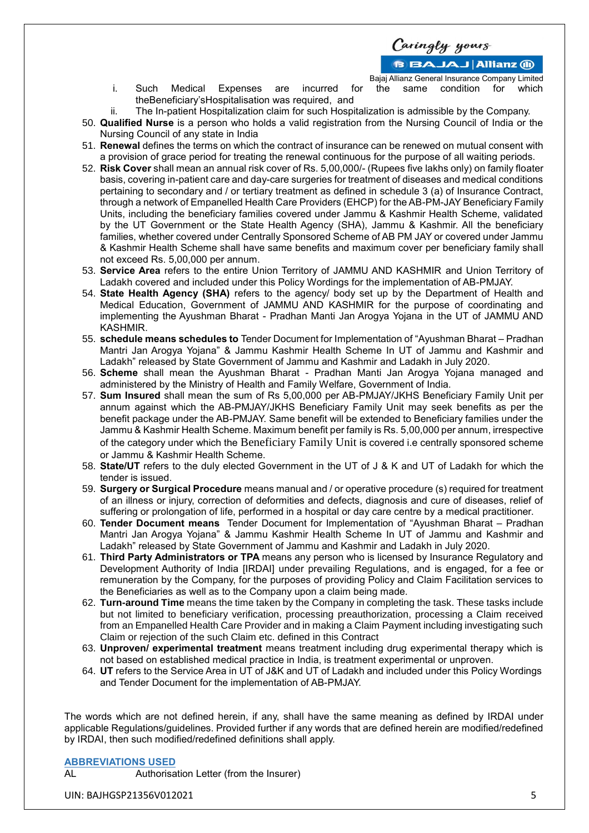**BBAJAJ Allianz (ii)** 

Bajaj Allianz General Insurance Company Limited i. Such Medical Expenses are incurred for the same condition for which

- theBeneficiary'sHospitalisation was required, and ii. The In-patient Hospitalization claim for such Hospitalization is admissible by the Company.
- 50. **Qualified Nurse** is a person who holds a valid registration from the Nursing Council of India or the Nursing Council of any state in India
- 51. **Renewal** defines the terms on which the contract of insurance can be renewed on mutual consent with a provision of grace period for treating the renewal continuous for the purpose of all waiting periods.
- 52. **Risk Cover** shall mean an annual risk cover of Rs. 5,00,000/- (Rupees five lakhs only) on family floater basis, covering in-patient care and day-care surgeries for treatment of diseases and medical conditions pertaining to secondary and / or tertiary treatment as defined in schedule 3 (a) of Insurance Contract, through a network of Empanelled Health Care Providers (EHCP) for the AB-PM-JAY Beneficiary Family Units, including the beneficiary families covered under Jammu & Kashmir Health Scheme, validated by the UT Government or the State Health Agency (SHA), Jammu & Kashmir. All the beneficiary families, whether covered under Centrally Sponsored Scheme of AB PM JAY or covered under Jammu & Kashmir Health Scheme shall have same benefits and maximum cover per beneficiary family shall not exceed Rs. 5,00,000 per annum.
- 53. **Service Area** refers to the entire Union Territory of JAMMU AND KASHMIR and Union Territory of Ladakh covered and included under this Policy Wordings for the implementation of AB-PMJAY.
- 54. **State Health Agency (SHA)** refers to the agency/ body set up by the Department of Health and Medical Education, Government of JAMMU AND KASHMIR for the purpose of coordinating and implementing the Ayushman Bharat - Pradhan Manti Jan Arogya Yojana in the UT of JAMMU AND KASHMIR.
- 55. **schedule means schedules to** Tender Document for Implementation of "Ayushman Bharat Pradhan Mantri Jan Arogya Yojana" & Jammu Kashmir Health Scheme In UT of Jammu and Kashmir and Ladakh" released by State Government of Jammu and Kashmir and Ladakh in July 2020.
- 56. **Scheme** shall mean the Ayushman Bharat Pradhan Manti Jan Arogya Yojana managed and administered by the Ministry of Health and Family Welfare, Government of India.
- 57. **Sum Insured** shall mean the sum of Rs 5,00,000 per AB-PMJAY/JKHS Beneficiary Family Unit per annum against which the AB-PMJAY/JKHS Beneficiary Family Unit may seek benefits as per the benefit package under the AB-PMJAY. Same benefit will be extended to Beneficiary families under the Jammu & Kashmir Health Scheme. Maximum benefit per family is Rs. 5,00,000 per annum, irrespective of the category under which the Beneficiary Family Unit is covered i.e centrally sponsored scheme or Jammu & Kashmir Health Scheme.
- 58. **State/UT** refers to the duly elected Government in the UT of J & K and UT of Ladakh for which the tender is issued.
- 59. **Surgery or Surgical Procedure** means manual and / or operative procedure (s) required for treatment of an illness or injury, correction of deformities and defects, diagnosis and cure of diseases, relief of suffering or prolongation of life, performed in a hospital or day care centre by a medical practitioner.
- 60. **Tender Document means** Tender Document for Implementation of "Ayushman Bharat Pradhan Mantri Jan Arogya Yojana" & Jammu Kashmir Health Scheme In UT of Jammu and Kashmir and Ladakh" released by State Government of Jammu and Kashmir and Ladakh in July 2020.
- 61. **Third Party Administrators or TPA** means any person who is licensed by Insurance Regulatory and Development Authority of India [IRDAI] under prevailing Regulations, and is engaged, for a fee or remuneration by the Company, for the purposes of providing Policy and Claim Facilitation services to the Beneficiaries as well as to the Company upon a claim being made.
- 62. **Turn-around Time** means the time taken by the Company in completing the task. These tasks include but not limited to beneficiary verification, processing preauthorization, processing a Claim received from an Empanelled Health Care Provider and in making a Claim Payment including investigating such Claim or rejection of the such Claim etc. defined in this Contract
- 63. **Unproven/ experimental treatment** means treatment including drug experimental therapy which is not based on established medical practice in India, is treatment experimental or unproven.
- 64. **UT** refers to the Service Area in UT of J&K and UT of Ladakh and included under this Policy Wordings and Tender Document for the implementation of AB-PMJAY.

The words which are not defined herein, if any, shall have the same meaning as defined by IRDAI under applicable Regulations/guidelines. Provided further if any words that are defined herein are modified/redefined by IRDAI, then such modified/redefined definitions shall apply.

**ABBREVIATIONS USED**

Authorisation Letter (from the Insurer)

UIN: BAJHGSP21356V012021 5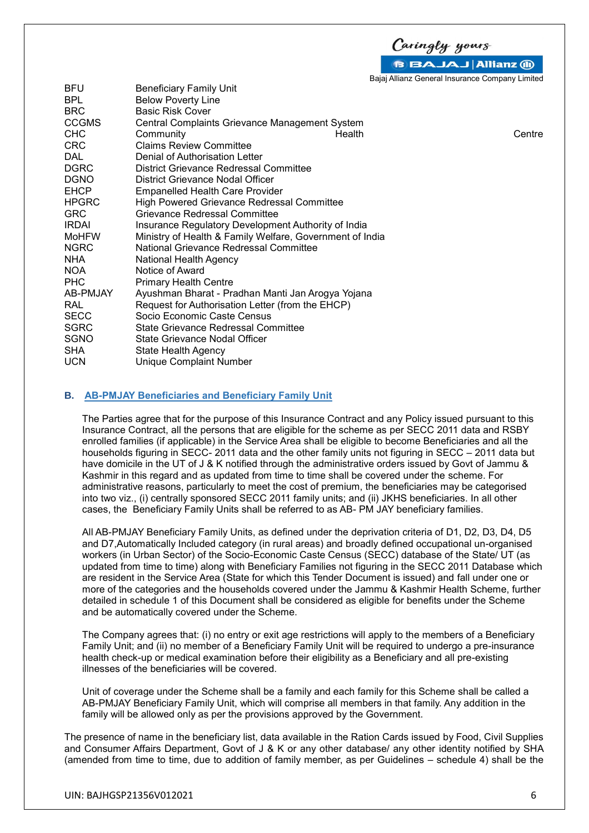Caringly yours B BAJAJ Allianz (ii)

Bajaj Allianz General Insurance Company Limited

| <b>Below Poverty Line</b>                                |                         |        |  |  |
|----------------------------------------------------------|-------------------------|--------|--|--|
| <b>Basic Risk Cover</b>                                  |                         |        |  |  |
| Central Complaints Grievance Management System           |                         |        |  |  |
| Community                                                | Health                  | Centre |  |  |
| <b>Claims Review Committee</b>                           |                         |        |  |  |
| Denial of Authorisation Letter                           |                         |        |  |  |
| District Grievance Redressal Committee                   |                         |        |  |  |
| District Grievance Nodal Officer                         |                         |        |  |  |
| Empanelled Health Care Provider                          |                         |        |  |  |
| <b>High Powered Grievance Redressal Committee</b>        |                         |        |  |  |
| Grievance Redressal Committee                            |                         |        |  |  |
| Insurance Regulatory Development Authority of India      |                         |        |  |  |
| Ministry of Health & Family Welfare, Government of India |                         |        |  |  |
| National Grievance Redressal Committee                   |                         |        |  |  |
| National Health Agency                                   |                         |        |  |  |
| Notice of Award                                          |                         |        |  |  |
| <b>Primary Health Centre</b>                             |                         |        |  |  |
| Ayushman Bharat - Pradhan Manti Jan Arogya Yojana        |                         |        |  |  |
| Request for Authorisation Letter (from the EHCP)         |                         |        |  |  |
| Socio Economic Caste Census                              |                         |        |  |  |
| <b>State Grievance Redressal Committee</b>               |                         |        |  |  |
| State Grievance Nodal Officer                            |                         |        |  |  |
| State Health Agency                                      |                         |        |  |  |
| <b>Unique Complaint Number</b>                           |                         |        |  |  |
|                                                          | Beneficiary Family Unit |        |  |  |

### **B. AB-PMJAY Beneficiaries and Beneficiary Family Unit**

The Parties agree that for the purpose of this Insurance Contract and any Policy issued pursuant to this Insurance Contract, all the persons that are eligible for the scheme as per SECC 2011 data and RSBY enrolled families (if applicable) in the Service Area shall be eligible to become Beneficiaries and all the households figuring in SECC- 2011 data and the other family units not figuring in SECC – 2011 data but have domicile in the UT of J & K notified through the administrative orders issued by Govt of Jammu & Kashmir in this regard and as updated from time to time shall be covered under the scheme. For administrative reasons, particularly to meet the cost of premium, the beneficiaries may be categorised into two viz., (i) centrally sponsored SECC 2011 family units; and (ii) JKHS beneficiaries. In all other cases, the Beneficiary Family Units shall be referred to as AB- PM JAY beneficiary families.

All AB-PMJAY Beneficiary Family Units, as defined under the deprivation criteria of D1, D2, D3, D4, D5 and D7,Automatically Included category (in rural areas) and broadly defined occupational un-organised workers (in Urban Sector) of the Socio-Economic Caste Census (SECC) database of the State/ UT (as updated from time to time) along with Beneficiary Families not figuring in the SECC 2011 Database which are resident in the Service Area (State for which this Tender Document is issued) and fall under one or more of the categories and the households covered under the Jammu & Kashmir Health Scheme, further detailed in schedule 1 of this Document shall be considered as eligible for benefits under the Scheme and be automatically covered under the Scheme.

The Company agrees that: (i) no entry or exit age restrictions will apply to the members of a Beneficiary Family Unit; and (ii) no member of a Beneficiary Family Unit will be required to undergo a pre-insurance health check-up or medical examination before their eligibility as a Beneficiary and all pre-existing illnesses of the beneficiaries will be covered.

Unit of coverage under the Scheme shall be a family and each family for this Scheme shall be called a AB-PMJAY Beneficiary Family Unit, which will comprise all members in that family. Any addition in the family will be allowed only as per the provisions approved by the Government.

The presence of name in the beneficiary list, data available in the Ration Cards issued by Food, Civil Supplies and Consumer Affairs Department, Govt of J & K or any other database/ any other identity notified by SHA (amended from time to time, due to addition of family member, as per Guidelines – schedule 4) shall be the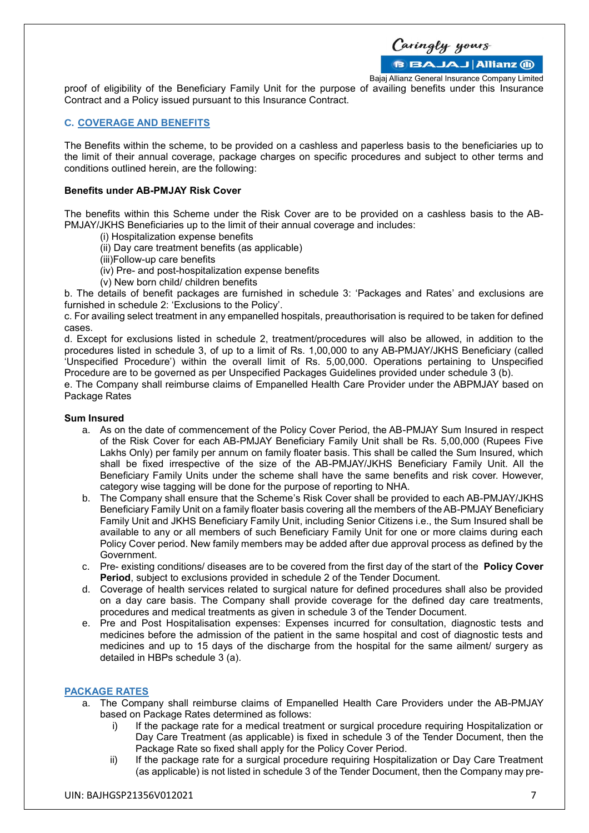Caringly yours

**BBAJAJ Allianz (ii)** 

Bajaj Allianz General Insurance Company Limited proof of eligibility of the Beneficiary Family Unit for the purpose of availing benefits under this Insurance Contract and a Policy issued pursuant to this Insurance Contract.

#### **C. COVERAGE AND BENEFITS**

The Benefits within the scheme, to be provided on a cashless and paperless basis to the beneficiaries up to the limit of their annual coverage, package charges on specific procedures and subject to other terms and conditions outlined herein, are the following:

#### **Benefits under AB-PMJAY Risk Cover**

The benefits within this Scheme under the Risk Cover are to be provided on a cashless basis to the AB-PMJAY/JKHS Beneficiaries up to the limit of their annual coverage and includes:

- (i) Hospitalization expense benefits
- (ii) Day care treatment benefits (as applicable)
- (iii)Follow-up care benefits
- (iv) Pre- and post-hospitalization expense benefits
- (v) New born child/ children benefits

b. The details of benefit packages are furnished in schedule 3: 'Packages and Rates' and exclusions are furnished in schedule 2: 'Exclusions to the Policy'.

c. For availing select treatment in any empanelled hospitals, preauthorisation is required to be taken for defined cases.

d. Except for exclusions listed in schedule 2, treatment/procedures will also be allowed, in addition to the procedures listed in schedule 3, of up to a limit of Rs. 1,00,000 to any AB-PMJAY/JKHS Beneficiary (called 'Unspecified Procedure') within the overall limit of Rs. 5,00,000. Operations pertaining to Unspecified Procedure are to be governed as per Unspecified Packages Guidelines provided under schedule 3 (b).

e. The Company shall reimburse claims of Empanelled Health Care Provider under the ABPMJAY based on Package Rates

#### **Sum Insured**

- a. As on the date of commencement of the Policy Cover Period, the AB-PMJAY Sum Insured in respect of the Risk Cover for each AB-PMJAY Beneficiary Family Unit shall be Rs. 5,00,000 (Rupees Five Lakhs Only) per family per annum on family floater basis. This shall be called the Sum Insured, which shall be fixed irrespective of the size of the AB-PMJAY/JKHS Beneficiary Family Unit. All the Beneficiary Family Units under the scheme shall have the same benefits and risk cover. However, category wise tagging will be done for the purpose of reporting to NHA.
- b. The Company shall ensure that the Scheme's Risk Cover shall be provided to each AB-PMJAY/JKHS Beneficiary Family Unit on a family floater basis covering all the members of the AB-PMJAY Beneficiary Family Unit and JKHS Beneficiary Family Unit, including Senior Citizens i.e., the Sum Insured shall be available to any or all members of such Beneficiary Family Unit for one or more claims during each Policy Cover period. New family members may be added after due approval process as defined by the Government.
- c. Pre- existing conditions/ diseases are to be covered from the first day of the start of the **Policy Cover Period**, subject to exclusions provided in schedule 2 of the Tender Document.
- d. Coverage of health services related to surgical nature for defined procedures shall also be provided on a day care basis. The Company shall provide coverage for the defined day care treatments, procedures and medical treatments as given in schedule 3 of the Tender Document.
- e. Pre and Post Hospitalisation expenses: Expenses incurred for consultation, diagnostic tests and medicines before the admission of the patient in the same hospital and cost of diagnostic tests and medicines and up to 15 days of the discharge from the hospital for the same ailment/ surgery as detailed in HBPs schedule 3 (a).

### **PACKAGE RATES**

- a. The Company shall reimburse claims of Empanelled Health Care Providers under the AB-PMJAY based on Package Rates determined as follows:
	- i) If the package rate for a medical treatment or surgical procedure requiring Hospitalization or Day Care Treatment (as applicable) is fixed in schedule 3 of the Tender Document, then the Package Rate so fixed shall apply for the Policy Cover Period.
	- ii) If the package rate for a surgical procedure requiring Hospitalization or Day Care Treatment (as applicable) is not listed in schedule 3 of the Tender Document, then the Company may pre-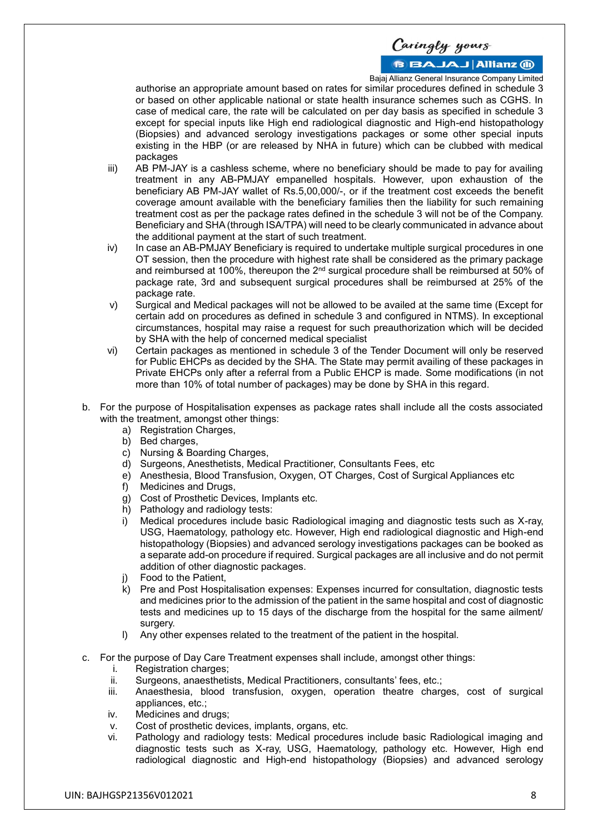### **BBAJAJ Allianz M**

Bajaj Allianz General Insurance Company Limited

authorise an appropriate amount based on rates for similar procedures defined in schedule 3 or based on other applicable national or state health insurance schemes such as CGHS. In case of medical care, the rate will be calculated on per day basis as specified in schedule 3 except for special inputs like High end radiological diagnostic and High-end histopathology (Biopsies) and advanced serology investigations packages or some other special inputs existing in the HBP (or are released by NHA in future) which can be clubbed with medical packages

- iii) AB PM-JAY is a cashless scheme, where no beneficiary should be made to pay for availing treatment in any AB-PMJAY empanelled hospitals. However, upon exhaustion of the beneficiary AB PM-JAY wallet of Rs.5,00,000/-, or if the treatment cost exceeds the benefit coverage amount available with the beneficiary families then the liability for such remaining treatment cost as per the package rates defined in the schedule 3 will not be of the Company. Beneficiary and SHA (through ISA/TPA) will need to be clearly communicated in advance about the additional payment at the start of such treatment.
- iv) In case an AB-PMJAY Beneficiary is required to undertake multiple surgical procedures in one OT session, then the procedure with highest rate shall be considered as the primary package and reimbursed at 100%, thereupon the 2nd surgical procedure shall be reimbursed at 50% of package rate, 3rd and subsequent surgical procedures shall be reimbursed at 25% of the package rate.
- v) Surgical and Medical packages will not be allowed to be availed at the same time (Except for certain add on procedures as defined in schedule 3 and configured in NTMS). In exceptional circumstances, hospital may raise a request for such preauthorization which will be decided by SHA with the help of concerned medical specialist
- vi) Certain packages as mentioned in schedule 3 of the Tender Document will only be reserved for Public EHCPs as decided by the SHA. The State may permit availing of these packages in Private EHCPs only after a referral from a Public EHCP is made. Some modifications (in not more than 10% of total number of packages) may be done by SHA in this regard.
- b. For the purpose of Hospitalisation expenses as package rates shall include all the costs associated with the treatment, amongst other things:
	- a) Registration Charges,
	- b) Bed charges,
	- c) Nursing & Boarding Charges,
	- d) Surgeons, Anesthetists, Medical Practitioner, Consultants Fees, etc
	- e) Anesthesia, Blood Transfusion, Oxygen, OT Charges, Cost of Surgical Appliances etc
	- f) Medicines and Drugs,
	- g) Cost of Prosthetic Devices, Implants etc.
	- h) Pathology and radiology tests:
	- i) Medical procedures include basic Radiological imaging and diagnostic tests such as X-ray, USG, Haematology, pathology etc. However, High end radiological diagnostic and High-end histopathology (Biopsies) and advanced serology investigations packages can be booked as a separate add-on procedure if required. Surgical packages are all inclusive and do not permit addition of other diagnostic packages.
	- j) Food to the Patient,
	- k) Pre and Post Hospitalisation expenses: Expenses incurred for consultation, diagnostic tests and medicines prior to the admission of the patient in the same hospital and cost of diagnostic tests and medicines up to 15 days of the discharge from the hospital for the same ailment/ surgery.
	- l) Any other expenses related to the treatment of the patient in the hospital.
- c. For the purpose of Day Care Treatment expenses shall include, amongst other things:
	- i. Registration charges;
		- ii. Surgeons, anaesthetists, Medical Practitioners, consultants' fees, etc.;
	- iii. Anaesthesia, blood transfusion, oxygen, operation theatre charges, cost of surgical appliances, etc.;
	- iv. Medicines and drugs;
	- v. Cost of prosthetic devices, implants, organs, etc.
	- vi. Pathology and radiology tests: Medical procedures include basic Radiological imaging and diagnostic tests such as X-ray, USG, Haematology, pathology etc. However, High end radiological diagnostic and High-end histopathology (Biopsies) and advanced serology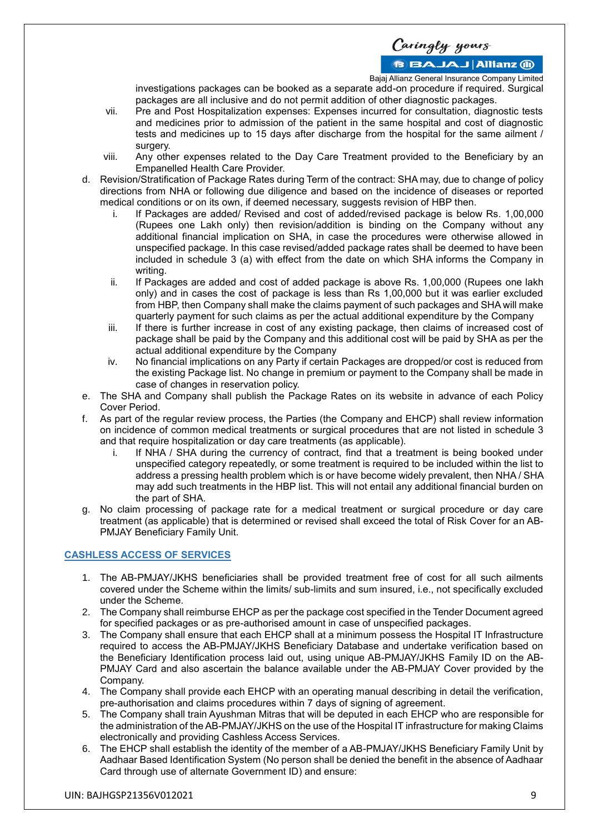### **BBAJAJ Allianz M**

Bajaj Allianz General Insurance Company Limited

investigations packages can be booked as a separate add-on procedure if required. Surgical packages are all inclusive and do not permit addition of other diagnostic packages.

- vii. Pre and Post Hospitalization expenses: Expenses incurred for consultation, diagnostic tests and medicines prior to admission of the patient in the same hospital and cost of diagnostic tests and medicines up to 15 days after discharge from the hospital for the same ailment / surgery.
- viii. Any other expenses related to the Day Care Treatment provided to the Beneficiary by an Empanelled Health Care Provider.
- d. Revision/Stratification of Package Rates during Term of the contract: SHA may, due to change of policy directions from NHA or following due diligence and based on the incidence of diseases or reported medical conditions or on its own, if deemed necessary, suggests revision of HBP then.
	- i. If Packages are added/ Revised and cost of added/revised package is below Rs. 1,00,000 (Rupees one Lakh only) then revision/addition is binding on the Company without any additional financial implication on SHA, in case the procedures were otherwise allowed in unspecified package. In this case revised/added package rates shall be deemed to have been included in schedule 3 (a) with effect from the date on which SHA informs the Company in writing.
	- ii. If Packages are added and cost of added package is above Rs. 1,00,000 (Rupees one lakh only) and in cases the cost of package is less than Rs 1,00,000 but it was earlier excluded from HBP, then Company shall make the claims payment of such packages and SHA will make quarterly payment for such claims as per the actual additional expenditure by the Company
	- iii. If there is further increase in cost of any existing package, then claims of increased cost of package shall be paid by the Company and this additional cost will be paid by SHA as per the actual additional expenditure by the Company
	- iv. No financial implications on any Party if certain Packages are dropped/or cost is reduced from the existing Package list. No change in premium or payment to the Company shall be made in case of changes in reservation policy.
- e. The SHA and Company shall publish the Package Rates on its website in advance of each Policy Cover Period.
- f. As part of the regular review process, the Parties (the Company and EHCP) shall review information on incidence of common medical treatments or surgical procedures that are not listed in schedule 3 and that require hospitalization or day care treatments (as applicable).
	- If NHA / SHA during the currency of contract, find that a treatment is being booked under unspecified category repeatedly, or some treatment is required to be included within the list to address a pressing health problem which is or have become widely prevalent, then NHA / SHA may add such treatments in the HBP list. This will not entail any additional financial burden on the part of SHA.
- g. No claim processing of package rate for a medical treatment or surgical procedure or day care treatment (as applicable) that is determined or revised shall exceed the total of Risk Cover for an AB-PMJAY Beneficiary Family Unit.

### **CASHLESS ACCESS OF SERVICES**

- 1. The AB-PMJAY/JKHS beneficiaries shall be provided treatment free of cost for all such ailments covered under the Scheme within the limits/ sub-limits and sum insured, i.e., not specifically excluded under the Scheme.
- 2. The Company shall reimburse EHCP as per the package cost specified in the Tender Document agreed for specified packages or as pre-authorised amount in case of unspecified packages.
- 3. The Company shall ensure that each EHCP shall at a minimum possess the Hospital IT Infrastructure required to access the AB-PMJAY/JKHS Beneficiary Database and undertake verification based on the Beneficiary Identification process laid out, using unique AB-PMJAY/JKHS Family ID on the AB-PMJAY Card and also ascertain the balance available under the AB-PMJAY Cover provided by the Company.
- 4. The Company shall provide each EHCP with an operating manual describing in detail the verification, pre-authorisation and claims procedures within 7 days of signing of agreement.
- 5. The Company shall train Ayushman Mitras that will be deputed in each EHCP who are responsible for the administration of the AB-PMJAY/JKHS on the use of the Hospital IT infrastructure for making Claims electronically and providing Cashless Access Services.
- 6. The EHCP shall establish the identity of the member of a AB-PMJAY/JKHS Beneficiary Family Unit by Aadhaar Based Identification System (No person shall be denied the benefit in the absence of Aadhaar Card through use of alternate Government ID) and ensure: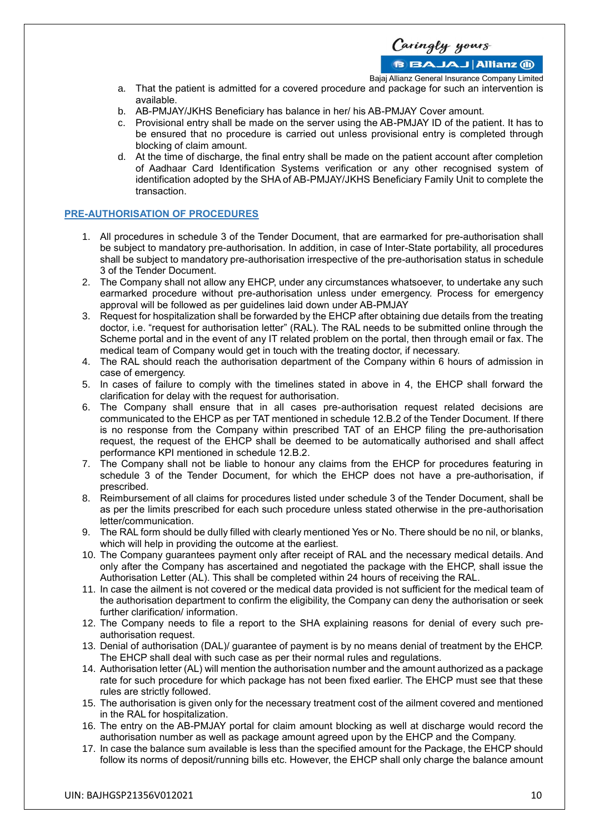Caringly yours

**BBAJAJ Allianz (ii)** 

Bajaj Allianz General Insurance Company Limited

- a. That the patient is admitted for a covered procedure and package for such an intervention is available.
- b. AB-PMJAY/JKHS Beneficiary has balance in her/ his AB-PMJAY Cover amount.
- c. Provisional entry shall be made on the server using the AB-PMJAY ID of the patient. It has to be ensured that no procedure is carried out unless provisional entry is completed through blocking of claim amount.
- d. At the time of discharge, the final entry shall be made on the patient account after completion of Aadhaar Card Identification Systems verification or any other recognised system of identification adopted by the SHA of AB-PMJAY/JKHS Beneficiary Family Unit to complete the transaction.

#### **PRE-AUTHORISATION OF PROCEDURES**

- 1. All procedures in schedule 3 of the Tender Document, that are earmarked for pre-authorisation shall be subject to mandatory pre-authorisation. In addition, in case of Inter-State portability, all procedures shall be subject to mandatory pre-authorisation irrespective of the pre-authorisation status in schedule 3 of the Tender Document.
- 2. The Company shall not allow any EHCP, under any circumstances whatsoever, to undertake any such earmarked procedure without pre-authorisation unless under emergency. Process for emergency approval will be followed as per guidelines laid down under AB-PMJAY
- 3. Request for hospitalization shall be forwarded by the EHCP after obtaining due details from the treating doctor, i.e. "request for authorisation letter" (RAL). The RAL needs to be submitted online through the Scheme portal and in the event of any IT related problem on the portal, then through email or fax. The medical team of Company would get in touch with the treating doctor, if necessary.
- 4. The RAL should reach the authorisation department of the Company within 6 hours of admission in case of emergency.
- 5. In cases of failure to comply with the timelines stated in above in 4, the EHCP shall forward the clarification for delay with the request for authorisation.
- 6. The Company shall ensure that in all cases pre-authorisation request related decisions are communicated to the EHCP as per TAT mentioned in schedule 12.B.2 of the Tender Document. If there is no response from the Company within prescribed TAT of an EHCP filing the pre-authorisation request, the request of the EHCP shall be deemed to be automatically authorised and shall affect performance KPI mentioned in schedule 12.B.2.
- 7. The Company shall not be liable to honour any claims from the EHCP for procedures featuring in schedule 3 of the Tender Document, for which the EHCP does not have a pre-authorisation, if prescribed.
- 8. Reimbursement of all claims for procedures listed under schedule 3 of the Tender Document, shall be as per the limits prescribed for each such procedure unless stated otherwise in the pre-authorisation letter/communication.
- 9. The RAL form should be dully filled with clearly mentioned Yes or No. There should be no nil, or blanks, which will help in providing the outcome at the earliest.
- 10. The Company guarantees payment only after receipt of RAL and the necessary medical details. And only after the Company has ascertained and negotiated the package with the EHCP, shall issue the Authorisation Letter (AL). This shall be completed within 24 hours of receiving the RAL.
- 11. In case the ailment is not covered or the medical data provided is not sufficient for the medical team of the authorisation department to confirm the eligibility, the Company can deny the authorisation or seek further clarification/ information.
- 12. The Company needs to file a report to the SHA explaining reasons for denial of every such preauthorisation request.
- 13. Denial of authorisation (DAL)/ guarantee of payment is by no means denial of treatment by the EHCP. The EHCP shall deal with such case as per their normal rules and regulations.
- 14. Authorisation letter (AL) will mention the authorisation number and the amount authorized as a package rate for such procedure for which package has not been fixed earlier. The EHCP must see that these rules are strictly followed.
- 15. The authorisation is given only for the necessary treatment cost of the ailment covered and mentioned in the RAL for hospitalization.
- 16. The entry on the AB-PMJAY portal for claim amount blocking as well at discharge would record the authorisation number as well as package amount agreed upon by the EHCP and the Company.
- 17. In case the balance sum available is less than the specified amount for the Package, the EHCP should follow its norms of deposit/running bills etc. However, the EHCP shall only charge the balance amount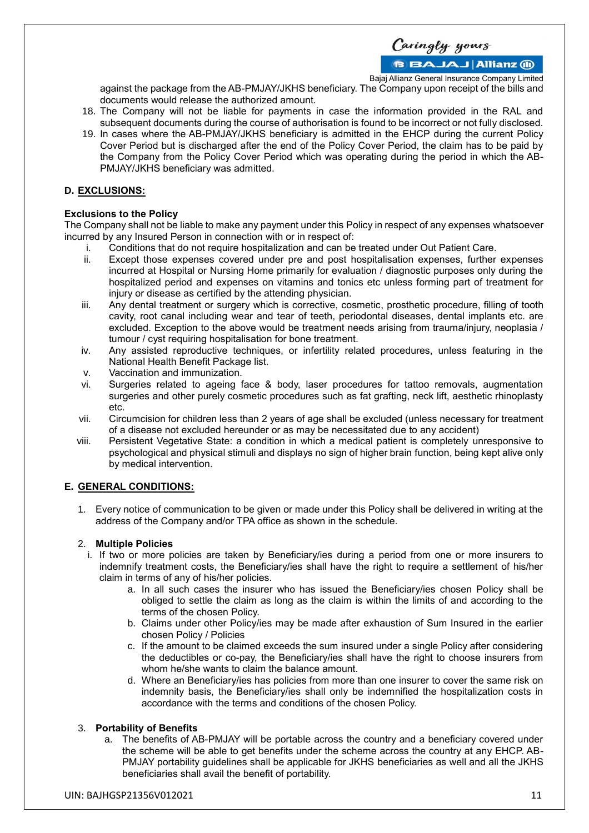Caringly yours

**BBAJAJ Allianz M** 

Bajaj Allianz General Insurance Company Limited

against the package from the AB-PMJAY/JKHS beneficiary. The Company upon receipt of the bills and documents would release the authorized amount.

- 18. The Company will not be liable for payments in case the information provided in the RAL and subsequent documents during the course of authorisation is found to be incorrect or not fully disclosed.
- 19. In cases where the AB-PMJAY/JKHS beneficiary is admitted in the EHCP during the current Policy Cover Period but is discharged after the end of the Policy Cover Period, the claim has to be paid by the Company from the Policy Cover Period which was operating during the period in which the AB-PMJAY/JKHS beneficiary was admitted.

### **D. EXCLUSIONS:**

### **Exclusions to the Policy**

The Company shall not be liable to make any payment under this Policy in respect of any expenses whatsoever incurred by any Insured Person in connection with or in respect of:

- i. Conditions that do not require hospitalization and can be treated under Out Patient Care.
- Except those expenses covered under pre and post hospitalisation expenses, further expenses incurred at Hospital or Nursing Home primarily for evaluation / diagnostic purposes only during the hospitalized period and expenses on vitamins and tonics etc unless forming part of treatment for injury or disease as certified by the attending physician.
- iii. Any dental treatment or surgery which is corrective, cosmetic, prosthetic procedure, filling of tooth cavity, root canal including wear and tear of teeth, periodontal diseases, dental implants etc. are excluded. Exception to the above would be treatment needs arising from trauma/injury, neoplasia / tumour / cyst requiring hospitalisation for bone treatment.
- iv. Any assisted reproductive techniques, or infertility related procedures, unless featuring in the National Health Benefit Package list.
- v. Vaccination and immunization.
- vi. Surgeries related to ageing face & body, laser procedures for tattoo removals, augmentation surgeries and other purely cosmetic procedures such as fat grafting, neck lift, aesthetic rhinoplasty etc.
- vii. Circumcision for children less than 2 years of age shall be excluded (unless necessary for treatment of a disease not excluded hereunder or as may be necessitated due to any accident)
- viii. Persistent Vegetative State: a condition in which a medical patient is completely unresponsive to psychological and physical stimuli and displays no sign of higher brain function, being kept alive only by medical intervention.

### **E. GENERAL CONDITIONS:**

1. Every notice of communication to be given or made under this Policy shall be delivered in writing at the address of the Company and/or TPA office as shown in the schedule.

### 2. **Multiple Policies**

- i. If two or more policies are taken by Beneficiary/ies during a period from one or more insurers to indemnify treatment costs, the Beneficiary/ies shall have the right to require a settlement of his/her claim in terms of any of his/her policies.
	- a. In all such cases the insurer who has issued the Beneficiary/ies chosen Policy shall be obliged to settle the claim as long as the claim is within the limits of and according to the terms of the chosen Policy.
	- b. Claims under other Policy/ies may be made after exhaustion of Sum Insured in the earlier chosen Policy / Policies
	- c. If the amount to be claimed exceeds the sum insured under a single Policy after considering the deductibles or co-pay, the Beneficiary/ies shall have the right to choose insurers from whom he/she wants to claim the balance amount.
	- d. Where an Beneficiary/ies has policies from more than one insurer to cover the same risk on indemnity basis, the Beneficiary/ies shall only be indemnified the hospitalization costs in accordance with the terms and conditions of the chosen Policy.

### 3. **Portability of Benefits**

a. The benefits of AB-PMJAY will be portable across the country and a beneficiary covered under the scheme will be able to get benefits under the scheme across the country at any EHCP. AB-PMJAY portability guidelines shall be applicable for JKHS beneficiaries as well and all the JKHS beneficiaries shall avail the benefit of portability.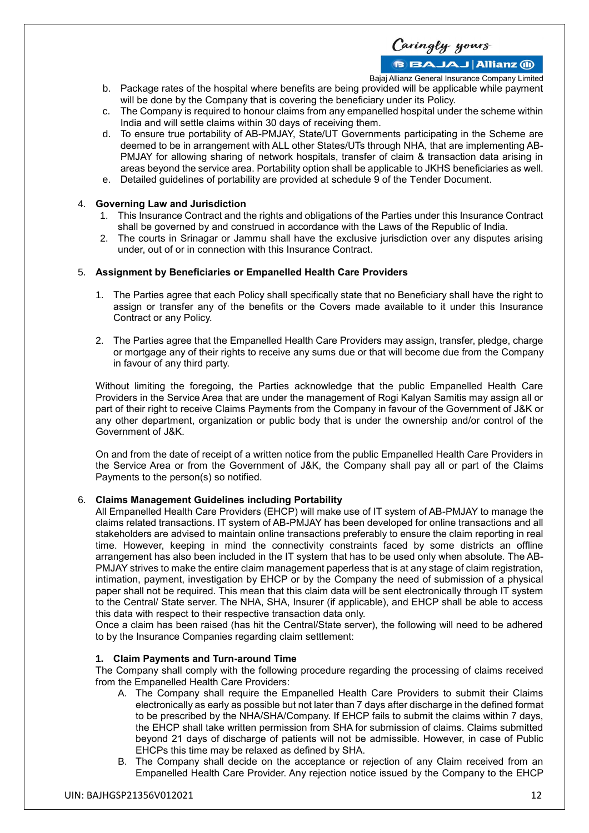Caringly yours

**BBAJAJ Allianz M** 

Bajaj Allianz General Insurance Company Limited

- b. Package rates of the hospital where benefits are being provided will be applicable while payment will be done by the Company that is covering the beneficiary under its Policy.
- c. The Company is required to honour claims from any empanelled hospital under the scheme within India and will settle claims within 30 days of receiving them.
- d. To ensure true portability of AB-PMJAY, State/UT Governments participating in the Scheme are deemed to be in arrangement with ALL other States/UTs through NHA, that are implementing AB-PMJAY for allowing sharing of network hospitals, transfer of claim & transaction data arising in areas beyond the service area. Portability option shall be applicable to JKHS beneficiaries as well.
- e. Detailed guidelines of portability are provided at schedule 9 of the Tender Document.

#### 4. **Governing Law and Jurisdiction**

- 1. This Insurance Contract and the rights and obligations of the Parties under this Insurance Contract shall be governed by and construed in accordance with the Laws of the Republic of India.
- 2. The courts in Srinagar or Jammu shall have the exclusive jurisdiction over any disputes arising under, out of or in connection with this Insurance Contract.

#### 5. **Assignment by Beneficiaries or Empanelled Health Care Providers**

- 1. The Parties agree that each Policy shall specifically state that no Beneficiary shall have the right to assign or transfer any of the benefits or the Covers made available to it under this Insurance Contract or any Policy.
- 2. The Parties agree that the Empanelled Health Care Providers may assign, transfer, pledge, charge or mortgage any of their rights to receive any sums due or that will become due from the Company in favour of any third party.

Without limiting the foregoing, the Parties acknowledge that the public Empanelled Health Care Providers in the Service Area that are under the management of Rogi Kalyan Samitis may assign all or part of their right to receive Claims Payments from the Company in favour of the Government of J&K or any other department, organization or public body that is under the ownership and/or control of the Government of J&K.

On and from the date of receipt of a written notice from the public Empanelled Health Care Providers in the Service Area or from the Government of J&K, the Company shall pay all or part of the Claims Payments to the person(s) so notified.

#### 6. **Claims Management Guidelines including Portability**

All Empanelled Health Care Providers (EHCP) will make use of IT system of AB-PMJAY to manage the claims related transactions. IT system of AB-PMJAY has been developed for online transactions and all stakeholders are advised to maintain online transactions preferably to ensure the claim reporting in real time. However, keeping in mind the connectivity constraints faced by some districts an offline arrangement has also been included in the IT system that has to be used only when absolute. The AB-PMJAY strives to make the entire claim management paperless that is at any stage of claim registration, intimation, payment, investigation by EHCP or by the Company the need of submission of a physical paper shall not be required. This mean that this claim data will be sent electronically through IT system to the Central/ State server. The NHA, SHA, Insurer (if applicable), and EHCP shall be able to access this data with respect to their respective transaction data only.

Once a claim has been raised (has hit the Central/State server), the following will need to be adhered to by the Insurance Companies regarding claim settlement:

#### **1. Claim Payments and Turn-around Time**

The Company shall comply with the following procedure regarding the processing of claims received from the Empanelled Health Care Providers:

- A. The Company shall require the Empanelled Health Care Providers to submit their Claims electronically as early as possible but not later than 7 days after discharge in the defined format to be prescribed by the NHA/SHA/Company. If EHCP fails to submit the claims within 7 days, the EHCP shall take written permission from SHA for submission of claims. Claims submitted beyond 21 days of discharge of patients will not be admissible. However, in case of Public EHCPs this time may be relaxed as defined by SHA.
- B. The Company shall decide on the acceptance or rejection of any Claim received from an Empanelled Health Care Provider. Any rejection notice issued by the Company to the EHCP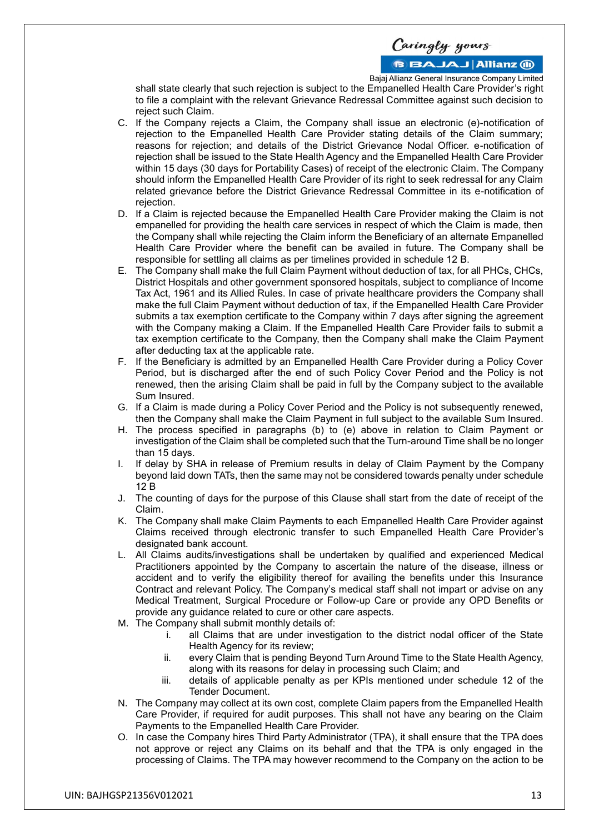### **BBAJAJ Allianz (ii)**

Bajaj Allianz General Insurance Company Limited

shall state clearly that such rejection is subject to the Empanelled Health Care Provider's right to file a complaint with the relevant Grievance Redressal Committee against such decision to reject such Claim.

- C. If the Company rejects a Claim, the Company shall issue an electronic (e)-notification of rejection to the Empanelled Health Care Provider stating details of the Claim summary; reasons for rejection; and details of the District Grievance Nodal Officer. e-notification of rejection shall be issued to the State Health Agency and the Empanelled Health Care Provider within 15 days (30 days for Portability Cases) of receipt of the electronic Claim. The Company should inform the Empanelled Health Care Provider of its right to seek redressal for any Claim related grievance before the District Grievance Redressal Committee in its e-notification of rejection.
- D. If a Claim is rejected because the Empanelled Health Care Provider making the Claim is not empanelled for providing the health care services in respect of which the Claim is made, then the Company shall while rejecting the Claim inform the Beneficiary of an alternate Empanelled Health Care Provider where the benefit can be availed in future. The Company shall be responsible for settling all claims as per timelines provided in schedule 12 B.
- E. The Company shall make the full Claim Payment without deduction of tax, for all PHCs, CHCs, District Hospitals and other government sponsored hospitals, subject to compliance of Income Tax Act, 1961 and its Allied Rules. In case of private healthcare providers the Company shall make the full Claim Payment without deduction of tax, if the Empanelled Health Care Provider submits a tax exemption certificate to the Company within 7 days after signing the agreement with the Company making a Claim. If the Empanelled Health Care Provider fails to submit a tax exemption certificate to the Company, then the Company shall make the Claim Payment after deducting tax at the applicable rate.
- F. If the Beneficiary is admitted by an Empanelled Health Care Provider during a Policy Cover Period, but is discharged after the end of such Policy Cover Period and the Policy is not renewed, then the arising Claim shall be paid in full by the Company subject to the available Sum Insured.
- G. If a Claim is made during a Policy Cover Period and the Policy is not subsequently renewed, then the Company shall make the Claim Payment in full subject to the available Sum Insured.
- H. The process specified in paragraphs (b) to (e) above in relation to Claim Payment or investigation of the Claim shall be completed such that the Turn-around Time shall be no longer than 15 days.
- I. If delay by SHA in release of Premium results in delay of Claim Payment by the Company beyond laid down TATs, then the same may not be considered towards penalty under schedule 12 B
- J. The counting of days for the purpose of this Clause shall start from the date of receipt of the Claim.
- K. The Company shall make Claim Payments to each Empanelled Health Care Provider against Claims received through electronic transfer to such Empanelled Health Care Provider's designated bank account.
- L. All Claims audits/investigations shall be undertaken by qualified and experienced Medical Practitioners appointed by the Company to ascertain the nature of the disease, illness or accident and to verify the eligibility thereof for availing the benefits under this Insurance Contract and relevant Policy. The Company's medical staff shall not impart or advise on any Medical Treatment, Surgical Procedure or Follow-up Care or provide any OPD Benefits or provide any guidance related to cure or other care aspects.
- M. The Company shall submit monthly details of:
	- i. all Claims that are under investigation to the district nodal officer of the State Health Agency for its review;
	- ii. every Claim that is pending Beyond Turn Around Time to the State Health Agency, along with its reasons for delay in processing such Claim; and
	- iii. details of applicable penalty as per KPIs mentioned under schedule 12 of the Tender Document.
- N. The Company may collect at its own cost, complete Claim papers from the Empanelled Health Care Provider, if required for audit purposes. This shall not have any bearing on the Claim Payments to the Empanelled Health Care Provider.
- O. In case the Company hires Third Party Administrator (TPA), it shall ensure that the TPA does not approve or reject any Claims on its behalf and that the TPA is only engaged in the processing of Claims. The TPA may however recommend to the Company on the action to be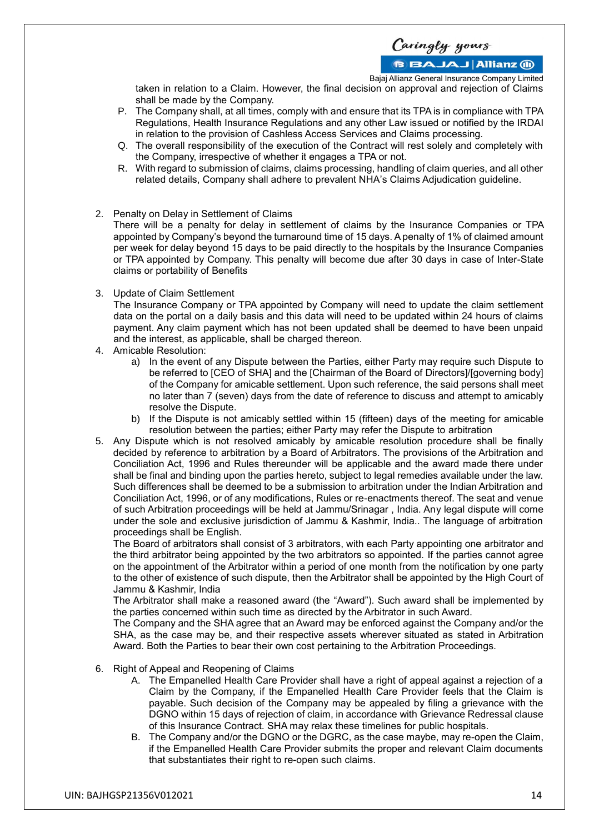Caringly yours

**BBAJAJ Allianz M** 

Bajaj Allianz General Insurance Company Limited

taken in relation to a Claim. However, the final decision on approval and rejection of Claims shall be made by the Company.

- P. The Company shall, at all times, comply with and ensure that its TPA is in compliance with TPA Regulations, Health Insurance Regulations and any other Law issued or notified by the IRDAI in relation to the provision of Cashless Access Services and Claims processing.
- Q. The overall responsibility of the execution of the Contract will rest solely and completely with the Company, irrespective of whether it engages a TPA or not.
- R. With regard to submission of claims, claims processing, handling of claim queries, and all other related details, Company shall adhere to prevalent NHA's Claims Adjudication guideline.
- 2. Penalty on Delay in Settlement of Claims

There will be a penalty for delay in settlement of claims by the Insurance Companies or TPA appointed by Company's beyond the turnaround time of 15 days. A penalty of 1% of claimed amount per week for delay beyond 15 days to be paid directly to the hospitals by the Insurance Companies or TPA appointed by Company. This penalty will become due after 30 days in case of Inter-State claims or portability of Benefits

3. Update of Claim Settlement

The Insurance Company or TPA appointed by Company will need to update the claim settlement data on the portal on a daily basis and this data will need to be updated within 24 hours of claims payment. Any claim payment which has not been updated shall be deemed to have been unpaid and the interest, as applicable, shall be charged thereon.

- 4. Amicable Resolution:
	- a) In the event of any Dispute between the Parties, either Party may require such Dispute to be referred to [CEO of SHA] and the [Chairman of the Board of Directors]/[governing body] of the Company for amicable settlement. Upon such reference, the said persons shall meet no later than 7 (seven) days from the date of reference to discuss and attempt to amicably resolve the Dispute.
	- b) If the Dispute is not amicably settled within 15 (fifteen) days of the meeting for amicable resolution between the parties; either Party may refer the Dispute to arbitration
- 5. Any Dispute which is not resolved amicably by amicable resolution procedure shall be finally decided by reference to arbitration by a Board of Arbitrators. The provisions of the Arbitration and Conciliation Act, 1996 and Rules thereunder will be applicable and the award made there under shall be final and binding upon the parties hereto, subject to legal remedies available under the law. Such differences shall be deemed to be a submission to arbitration under the Indian Arbitration and Conciliation Act, 1996, or of any modifications, Rules or re-enactments thereof. The seat and venue of such Arbitration proceedings will be held at Jammu/Srinagar , India. Any legal dispute will come under the sole and exclusive jurisdiction of Jammu & Kashmir, India.. The language of arbitration proceedings shall be English.

The Board of arbitrators shall consist of 3 arbitrators, with each Party appointing one arbitrator and the third arbitrator being appointed by the two arbitrators so appointed. If the parties cannot agree on the appointment of the Arbitrator within a period of one month from the notification by one party to the other of existence of such dispute, then the Arbitrator shall be appointed by the High Court of Jammu & Kashmir, India

The Arbitrator shall make a reasoned award (the "Award"). Such award shall be implemented by the parties concerned within such time as directed by the Arbitrator in such Award.

The Company and the SHA agree that an Award may be enforced against the Company and/or the SHA, as the case may be, and their respective assets wherever situated as stated in Arbitration Award. Both the Parties to bear their own cost pertaining to the Arbitration Proceedings.

- 6. Right of Appeal and Reopening of Claims
	- A. The Empanelled Health Care Provider shall have a right of appeal against a rejection of a Claim by the Company, if the Empanelled Health Care Provider feels that the Claim is payable. Such decision of the Company may be appealed by filing a grievance with the DGNO within 15 days of rejection of claim, in accordance with Grievance Redressal clause of this Insurance Contract. SHA may relax these timelines for public hospitals.
	- B. The Company and/or the DGNO or the DGRC, as the case maybe, may re-open the Claim, if the Empanelled Health Care Provider submits the proper and relevant Claim documents that substantiates their right to re-open such claims.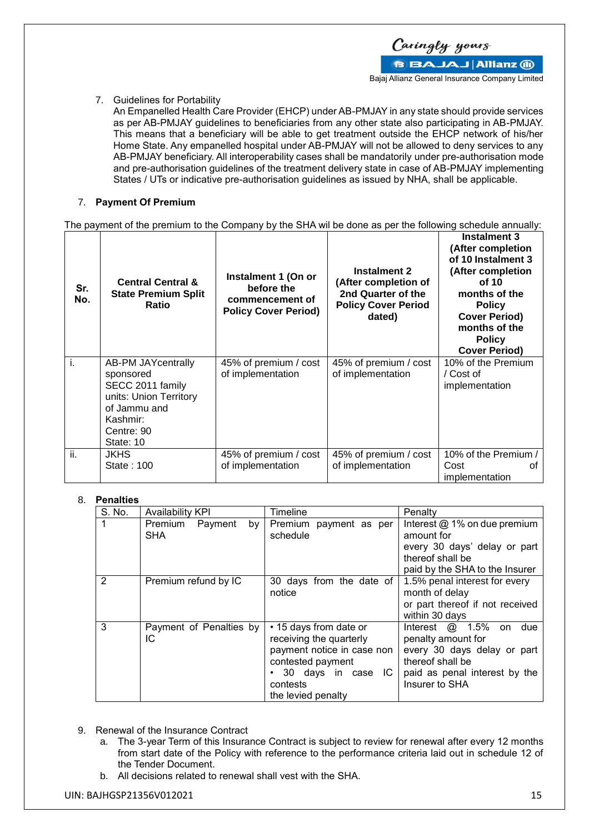

7. Guidelines for Portability

An Empanelled Health Care Provider (EHCP) under AB-PMJAY in any state should provide services as per AB-PMJAY guidelines to beneficiaries from any other state also participating in AB-PMJAY. This means that a beneficiary will be able to get treatment outside the EHCP network of his/her Home State. Any empanelled hospital under AB-PMJAY will not be allowed to deny services to any AB-PMJAY beneficiary. All interoperability cases shall be mandatorily under pre-authorisation mode and pre-authorisation guidelines of the treatment delivery state in case of AB-PMJAY implementing States / UTs or indicative pre-authorisation guidelines as issued by NHA, shall be applicable.

### 7. **Payment Of Premium**

The payment of the premium to the Company by the SHA wil be done as per the following schedule annually:

| Sr.<br>No. | <b>Central Central &amp;</b><br><b>State Premium Split</b><br><b>Ratio</b> | Instalment 1 (On or<br>before the<br>commencement of<br><b>Policy Cover Period)</b> | Instalment 2<br>(After completion of<br>2nd Quarter of the<br><b>Policy Cover Period</b><br>dated) | Instalment 3<br>(After completion<br>of 10 Instalment 3<br>(After completion<br>of 10<br>months of the<br><b>Policy</b><br><b>Cover Period)</b><br>months of the<br><b>Policy</b><br><b>Cover Period)</b> |
|------------|----------------------------------------------------------------------------|-------------------------------------------------------------------------------------|----------------------------------------------------------------------------------------------------|-----------------------------------------------------------------------------------------------------------------------------------------------------------------------------------------------------------|
| i.         | <b>AB-PM JAYcentrally</b><br>sponsored                                     | 45% of premium / cost<br>of implementation                                          | 45% of premium / cost<br>of implementation                                                         | 10% of the Premium<br>/ Cost of                                                                                                                                                                           |
|            | SECC 2011 family                                                           |                                                                                     |                                                                                                    | implementation                                                                                                                                                                                            |
|            | units: Union Territory<br>of Jammu and                                     |                                                                                     |                                                                                                    |                                                                                                                                                                                                           |
|            | Kashmir:                                                                   |                                                                                     |                                                                                                    |                                                                                                                                                                                                           |
|            | Centre: 90<br>State: 10                                                    |                                                                                     |                                                                                                    |                                                                                                                                                                                                           |
| ii.        | JKHS.                                                                      | 45% of premium / cost                                                               | 45% of premium / cost                                                                              | 10% of the Premium /                                                                                                                                                                                      |
|            | State: 100                                                                 | of implementation                                                                   | of implementation                                                                                  | Cost<br>Ωt<br>implementation                                                                                                                                                                              |

### 8. **Penalties**

| S. No.         | <b>Availability KPI</b>                | Timeline                                                                                                                                                       | Penalty                                                                                                                                                 |
|----------------|----------------------------------------|----------------------------------------------------------------------------------------------------------------------------------------------------------------|---------------------------------------------------------------------------------------------------------------------------------------------------------|
|                | Premium<br>Payment<br>by<br><b>SHA</b> | Premium payment as per<br>schedule                                                                                                                             | Interest $@$ 1% on due premium<br>amount for<br>every 30 days' delay or part<br>thereof shall be<br>paid by the SHA to the Insurer                      |
| $\overline{2}$ | Premium refund by IC                   | 30 days from the date of<br>notice                                                                                                                             | 1.5% penal interest for every<br>month of delay<br>or part thereof if not received<br>within 30 days                                                    |
| 3              | Payment of Penalties by<br>IC          | • 15 days from date or<br>receiving the quarterly<br>payment notice in case non<br>contested payment<br>• 30 days in case IC<br>contests<br>the levied penalty | Interest $@$ 1.5% on<br>due<br>penalty amount for<br>every 30 days delay or part<br>thereof shall be<br>paid as penal interest by the<br>Insurer to SHA |

- 9. Renewal of the Insurance Contract
	- a. The 3-year Term of this Insurance Contract is subject to review for renewal after every 12 months from start date of the Policy with reference to the performance criteria laid out in schedule 12 of the Tender Document.
	- b. All decisions related to renewal shall vest with the SHA.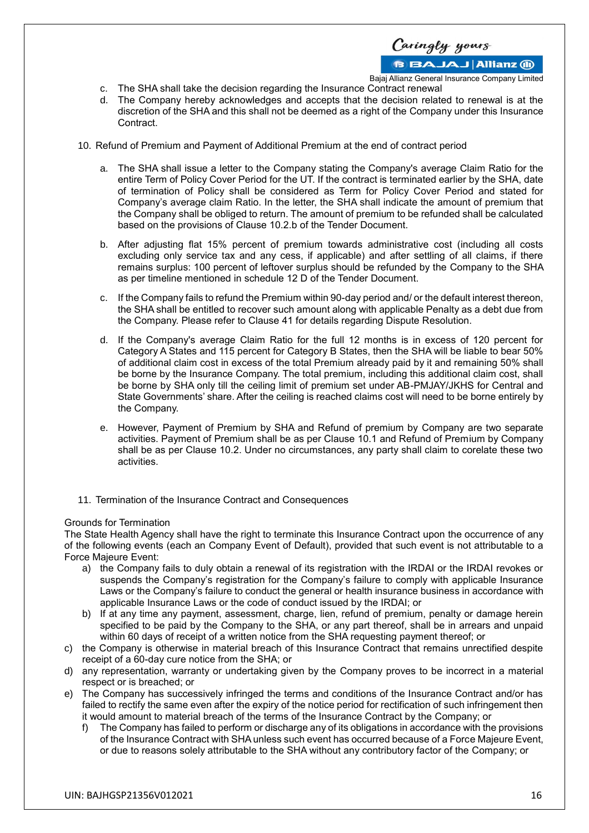

Bajaj Allianz General Insurance Company Limited

- c. The SHA shall take the decision regarding the Insurance Contract renewal
- d. The Company hereby acknowledges and accepts that the decision related to renewal is at the discretion of the SHA and this shall not be deemed as a right of the Company under this Insurance Contract.
- 10. Refund of Premium and Payment of Additional Premium at the end of contract period
	- a. The SHA shall issue a letter to the Company stating the Company's average Claim Ratio for the entire Term of Policy Cover Period for the UT. If the contract is terminated earlier by the SHA, date of termination of Policy shall be considered as Term for Policy Cover Period and stated for Company's average claim Ratio. In the letter, the SHA shall indicate the amount of premium that the Company shall be obliged to return. The amount of premium to be refunded shall be calculated based on the provisions of Clause 10.2.b of the Tender Document.
	- b. After adjusting flat 15% percent of premium towards administrative cost (including all costs excluding only service tax and any cess, if applicable) and after settling of all claims, if there remains surplus: 100 percent of leftover surplus should be refunded by the Company to the SHA as per timeline mentioned in schedule 12 D of the Tender Document.
	- c. If the Company fails to refund the Premium within 90-day period and/ or the default interest thereon, the SHA shall be entitled to recover such amount along with applicable Penalty as a debt due from the Company. Please refer to Clause 41 for details regarding Dispute Resolution.
	- d. If the Company's average Claim Ratio for the full 12 months is in excess of 120 percent for Category A States and 115 percent for Category B States, then the SHA will be liable to bear 50% of additional claim cost in excess of the total Premium already paid by it and remaining 50% shall be borne by the Insurance Company. The total premium, including this additional claim cost, shall be borne by SHA only till the ceiling limit of premium set under AB-PMJAY/JKHS for Central and State Governments' share. After the ceiling is reached claims cost will need to be borne entirely by the Company.
	- e. However, Payment of Premium by SHA and Refund of premium by Company are two separate activities. Payment of Premium shall be as per Clause 10.1 and Refund of Premium by Company shall be as per Clause 10.2. Under no circumstances, any party shall claim to corelate these two activities.
- 11. Termination of the Insurance Contract and Consequences

### Grounds for Termination

The State Health Agency shall have the right to terminate this Insurance Contract upon the occurrence of any of the following events (each an Company Event of Default), provided that such event is not attributable to a Force Majeure Event:

- a) the Company fails to duly obtain a renewal of its registration with the IRDAI or the IRDAI revokes or suspends the Company's registration for the Company's failure to comply with applicable Insurance Laws or the Company's failure to conduct the general or health insurance business in accordance with applicable Insurance Laws or the code of conduct issued by the IRDAI; or
- b) If at any time any payment, assessment, charge, lien, refund of premium, penalty or damage herein specified to be paid by the Company to the SHA, or any part thereof, shall be in arrears and unpaid within 60 days of receipt of a written notice from the SHA requesting payment thereof; or
- c) the Company is otherwise in material breach of this Insurance Contract that remains unrectified despite receipt of a 60-day cure notice from the SHA; or
- d) any representation, warranty or undertaking given by the Company proves to be incorrect in a material respect or is breached; or
- e) The Company has successively infringed the terms and conditions of the Insurance Contract and/or has failed to rectify the same even after the expiry of the notice period for rectification of such infringement then it would amount to material breach of the terms of the Insurance Contract by the Company; or
	- f) The Company has failed to perform or discharge any of its obligations in accordance with the provisions of the Insurance Contract with SHA unless such event has occurred because of a Force Majeure Event, or due to reasons solely attributable to the SHA without any contributory factor of the Company; or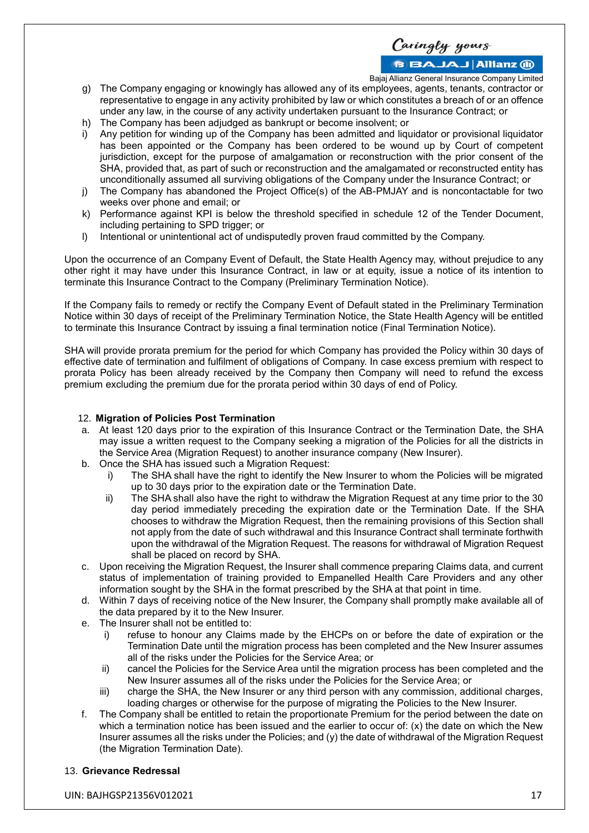Caringly yours **BBAJAJ Allianz M** 

Bajaj Allianz General Insurance Company Limited

- g) The Company engaging or knowingly has allowed any of its employees, agents, tenants, contractor or representative to engage in any activity prohibited by law or which constitutes a breach of or an offence under any law, in the course of any activity undertaken pursuant to the Insurance Contract; or
- h) The Company has been adjudged as bankrupt or become insolvent; or
- i) Any petition for winding up of the Company has been admitted and liquidator or provisional liquidator has been appointed or the Company has been ordered to be wound up by Court of competent jurisdiction, except for the purpose of amalgamation or reconstruction with the prior consent of the SHA, provided that, as part of such or reconstruction and the amalgamated or reconstructed entity has unconditionally assumed all surviving obligations of the Company under the Insurance Contract; or
- j) The Company has abandoned the Project Office(s) of the AB-PMJAY and is noncontactable for two weeks over phone and email; or
- k) Performance against KPI is below the threshold specified in schedule 12 of the Tender Document, including pertaining to SPD trigger; or
- l) Intentional or unintentional act of undisputedly proven fraud committed by the Company.

Upon the occurrence of an Company Event of Default, the State Health Agency may, without prejudice to any other right it may have under this Insurance Contract, in law or at equity, issue a notice of its intention to terminate this Insurance Contract to the Company (Preliminary Termination Notice).

If the Company fails to remedy or rectify the Company Event of Default stated in the Preliminary Termination Notice within 30 days of receipt of the Preliminary Termination Notice, the State Health Agency will be entitled to terminate this Insurance Contract by issuing a final termination notice (Final Termination Notice).

SHA will provide prorata premium for the period for which Company has provided the Policy within 30 days of effective date of termination and fulfilment of obligations of Company. In case excess premium with respect to prorata Policy has been already received by the Company then Company will need to refund the excess premium excluding the premium due for the prorata period within 30 days of end of Policy.

### 12. **Migration of Policies Post Termination**

- a. At least 120 days prior to the expiration of this Insurance Contract or the Termination Date, the SHA may issue a written request to the Company seeking a migration of the Policies for all the districts in the Service Area (Migration Request) to another insurance company (New Insurer).
- b. Once the SHA has issued such a Migration Request:
	- The SHA shall have the right to identify the New Insurer to whom the Policies will be migrated up to 30 days prior to the expiration date or the Termination Date.
	- ii) The SHA shall also have the right to withdraw the Migration Request at any time prior to the 30 day period immediately preceding the expiration date or the Termination Date. If the SHA chooses to withdraw the Migration Request, then the remaining provisions of this Section shall not apply from the date of such withdrawal and this Insurance Contract shall terminate forthwith upon the withdrawal of the Migration Request. The reasons for withdrawal of Migration Request shall be placed on record by SHA.
- c. Upon receiving the Migration Request, the Insurer shall commence preparing Claims data, and current status of implementation of training provided to Empanelled Health Care Providers and any other information sought by the SHA in the format prescribed by the SHA at that point in time.
- d. Within 7 days of receiving notice of the New Insurer, the Company shall promptly make available all of the data prepared by it to the New Insurer.
- e. The Insurer shall not be entitled to:
	- i) refuse to honour any Claims made by the EHCPs on or before the date of expiration or the Termination Date until the migration process has been completed and the New Insurer assumes all of the risks under the Policies for the Service Area; or
	- ii) cancel the Policies for the Service Area until the migration process has been completed and the New Insurer assumes all of the risks under the Policies for the Service Area; or
	- iii) charge the SHA, the New Insurer or any third person with any commission, additional charges, loading charges or otherwise for the purpose of migrating the Policies to the New Insurer.
- f. The Company shall be entitled to retain the proportionate Premium for the period between the date on which a termination notice has been issued and the earlier to occur of:  $(x)$  the date on which the New Insurer assumes all the risks under the Policies; and (y) the date of withdrawal of the Migration Request (the Migration Termination Date).

### 13. **Grievance Redressal**

UIN: BAJHGSP21356V012021 17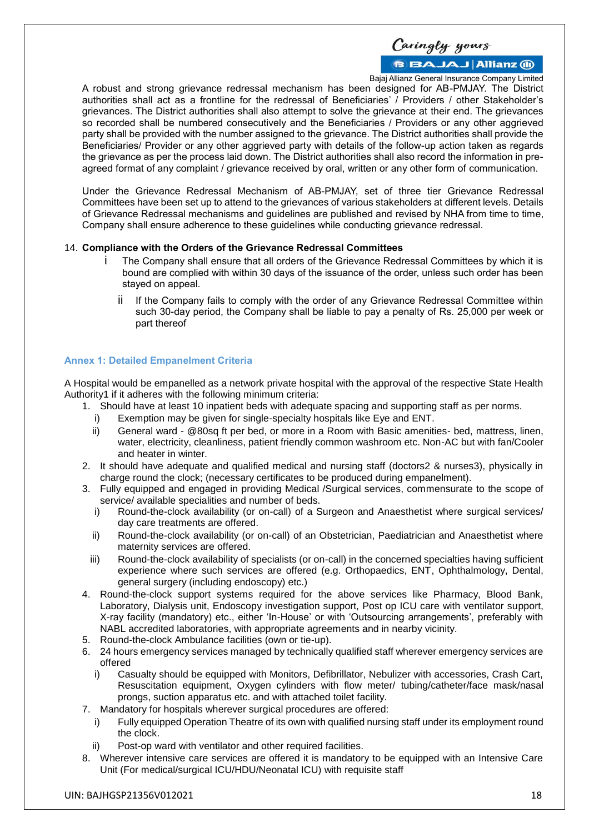Caringly yours **BBAJAJ Allianz M** 

Bajaj Allianz General Insurance Company Limited

A robust and strong grievance redressal mechanism has been designed for AB-PMJAY. The District authorities shall act as a frontline for the redressal of Beneficiaries' / Providers / other Stakeholder's grievances. The District authorities shall also attempt to solve the grievance at their end. The grievances so recorded shall be numbered consecutively and the Beneficiaries / Providers or any other aggrieved party shall be provided with the number assigned to the grievance. The District authorities shall provide the Beneficiaries/ Provider or any other aggrieved party with details of the follow-up action taken as regards the grievance as per the process laid down. The District authorities shall also record the information in preagreed format of any complaint / grievance received by oral, written or any other form of communication.

Under the Grievance Redressal Mechanism of AB-PMJAY, set of three tier Grievance Redressal Committees have been set up to attend to the grievances of various stakeholders at different levels. Details of Grievance Redressal mechanisms and guidelines are published and revised by NHA from time to time, Company shall ensure adherence to these guidelines while conducting grievance redressal.

#### 14. **Compliance with the Orders of the Grievance Redressal Committees**

- The Company shall ensure that all orders of the Grievance Redressal Committees by which it is bound are complied with within 30 days of the issuance of the order, unless such order has been stayed on appeal.
	- ii If the Company fails to comply with the order of any Grievance Redressal Committee within such 30-day period, the Company shall be liable to pay a penalty of Rs. 25,000 per week or part thereof

### **Annex 1: Detailed Empanelment Criteria**

A Hospital would be empanelled as a network private hospital with the approval of the respective State Health Authority1 if it adheres with the following minimum criteria:

- 1. Should have at least 10 inpatient beds with adequate spacing and supporting staff as per norms.
	- i) Exemption may be given for single-specialty hospitals like Eye and ENT.
	- ii) General ward @80sq ft per bed, or more in a Room with Basic amenities- bed, mattress, linen, water, electricity, cleanliness, patient friendly common washroom etc. Non-AC but with fan/Cooler and heater in winter.
- 2. It should have adequate and qualified medical and nursing staff (doctors2 & nurses3), physically in charge round the clock; (necessary certificates to be produced during empanelment).
- 3. Fully equipped and engaged in providing Medical /Surgical services, commensurate to the scope of service/ available specialities and number of beds.
	- i) Round-the-clock availability (or on-call) of a Surgeon and Anaesthetist where surgical services/ day care treatments are offered.
	- ii) Round-the-clock availability (or on-call) of an Obstetrician, Paediatrician and Anaesthetist where maternity services are offered.
	- iii) Round-the-clock availability of specialists (or on-call) in the concerned specialties having sufficient experience where such services are offered (e.g. Orthopaedics, ENT, Ophthalmology, Dental, general surgery (including endoscopy) etc.)
- 4. Round-the-clock support systems required for the above services like Pharmacy, Blood Bank, Laboratory, Dialysis unit, Endoscopy investigation support, Post op ICU care with ventilator support, X-ray facility (mandatory) etc., either 'In-House' or with 'Outsourcing arrangements', preferably with NABL accredited laboratories, with appropriate agreements and in nearby vicinity.
- 5. Round-the-clock Ambulance facilities (own or tie-up).
- 6. 24 hours emergency services managed by technically qualified staff wherever emergency services are offered
	- i) Casualty should be equipped with Monitors, Defibrillator, Nebulizer with accessories, Crash Cart, Resuscitation equipment, Oxygen cylinders with flow meter/ tubing/catheter/face mask/nasal prongs, suction apparatus etc. and with attached toilet facility.
- 7. Mandatory for hospitals wherever surgical procedures are offered:
	- i) Fully equipped Operation Theatre of its own with qualified nursing staff under its employment round the clock.
	- ii) Post-op ward with ventilator and other required facilities.
- 8. Wherever intensive care services are offered it is mandatory to be equipped with an Intensive Care Unit (For medical/surgical ICU/HDU/Neonatal ICU) with requisite staff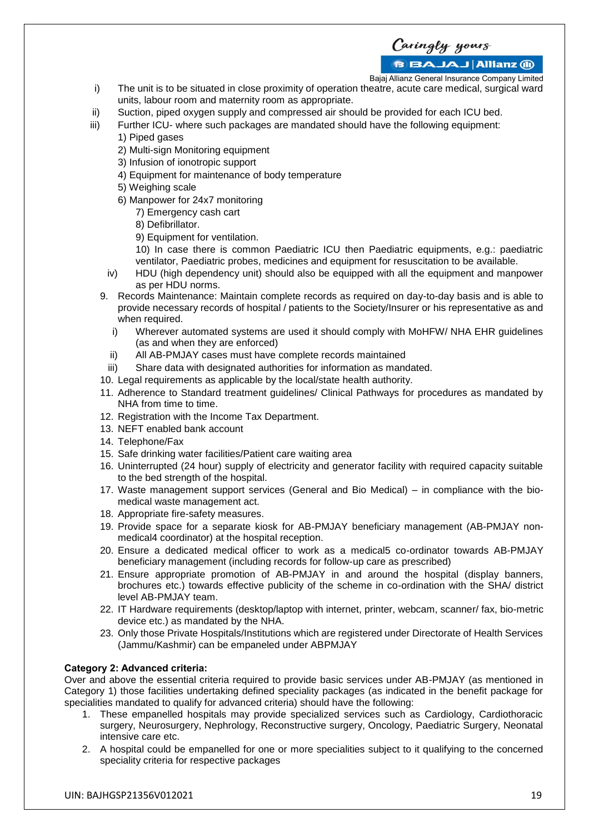Caringly yours

### **BBAJAJ Allianz (ii)**

Bajaj Allianz General Insurance Company Limited

- i) The unit is to be situated in close proximity of operation theatre, acute care medical, surgical ward units, labour room and maternity room as appropriate.
- ii) Suction, piped oxygen supply and compressed air should be provided for each ICU bed.
- iii) Further ICU- where such packages are mandated should have the following equipment:
	- 1) Piped gases
	- 2) Multi-sign Monitoring equipment
	- 3) Infusion of ionotropic support
	- 4) Equipment for maintenance of body temperature
	- 5) Weighing scale
	- 6) Manpower for 24x7 monitoring
		- 7) Emergency cash cart
		- 8) Defibrillator.
		- 9) Equipment for ventilation.

10) In case there is common Paediatric ICU then Paediatric equipments, e.g.: paediatric ventilator, Paediatric probes, medicines and equipment for resuscitation to be available.

- iv) HDU (high dependency unit) should also be equipped with all the equipment and manpower as per HDU norms.
- 9. Records Maintenance: Maintain complete records as required on day-to-day basis and is able to provide necessary records of hospital / patients to the Society/Insurer or his representative as and when required.
	- i) Wherever automated systems are used it should comply with MoHFW/ NHA EHR guidelines (as and when they are enforced)
	- ii) All AB-PMJAY cases must have complete records maintained
	- iii) Share data with designated authorities for information as mandated.
- 10. Legal requirements as applicable by the local/state health authority.
- 11. Adherence to Standard treatment guidelines/ Clinical Pathways for procedures as mandated by NHA from time to time.
- 12. Registration with the Income Tax Department.
- 13. NEFT enabled bank account
- 14. Telephone/Fax
- 15. Safe drinking water facilities/Patient care waiting area
- 16. Uninterrupted (24 hour) supply of electricity and generator facility with required capacity suitable to the bed strength of the hospital.
- 17. Waste management support services (General and Bio Medical) in compliance with the biomedical waste management act.
- 18. Appropriate fire-safety measures.
- 19. Provide space for a separate kiosk for AB-PMJAY beneficiary management (AB-PMJAY nonmedical4 coordinator) at the hospital reception.
- 20. Ensure a dedicated medical officer to work as a medical5 co-ordinator towards AB-PMJAY beneficiary management (including records for follow-up care as prescribed)
- 21. Ensure appropriate promotion of AB-PMJAY in and around the hospital (display banners, brochures etc.) towards effective publicity of the scheme in co-ordination with the SHA/ district level AB-PMJAY team.
- 22. IT Hardware requirements (desktop/laptop with internet, printer, webcam, scanner/ fax, bio-metric device etc.) as mandated by the NHA.
- 23. Only those Private Hospitals/Institutions which are registered under Directorate of Health Services (Jammu/Kashmir) can be empaneled under ABPMJAY

### **Category 2: Advanced criteria:**

Over and above the essential criteria required to provide basic services under AB-PMJAY (as mentioned in Category 1) those facilities undertaking defined speciality packages (as indicated in the benefit package for specialities mandated to qualify for advanced criteria) should have the following:

- 1. These empanelled hospitals may provide specialized services such as Cardiology, Cardiothoracic surgery, Neurosurgery, Nephrology, Reconstructive surgery, Oncology, Paediatric Surgery, Neonatal intensive care etc.
- 2. A hospital could be empanelled for one or more specialities subject to it qualifying to the concerned speciality criteria for respective packages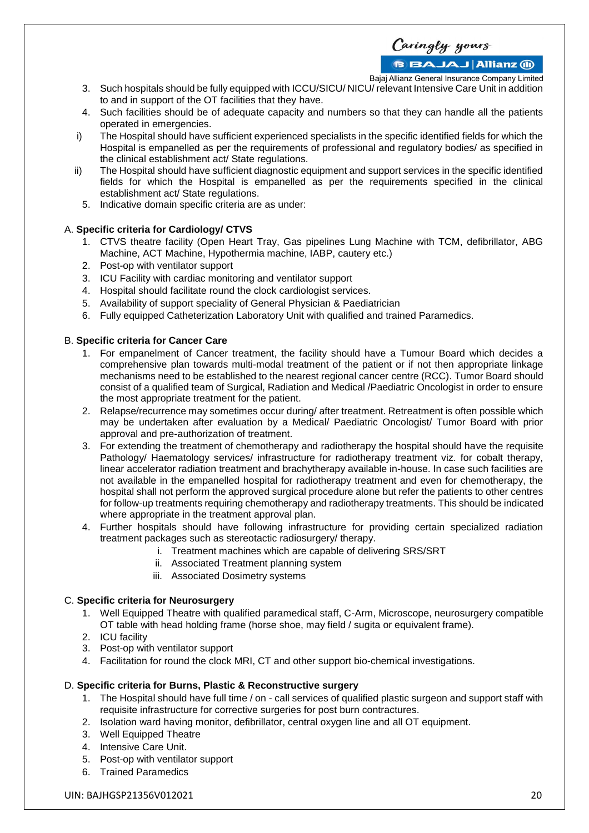Caringly yours

**BBAJAJ Allianz (ii)** 

Bajaj Allianz General Insurance Company Limited

- 3. Such hospitals should be fully equipped with ICCU/SICU/ NICU/ relevant Intensive Care Unit in addition to and in support of the OT facilities that they have.
- 4. Such facilities should be of adequate capacity and numbers so that they can handle all the patients operated in emergencies.
- i) The Hospital should have sufficient experienced specialists in the specific identified fields for which the Hospital is empanelled as per the requirements of professional and regulatory bodies/ as specified in the clinical establishment act/ State regulations.
- ii) The Hospital should have sufficient diagnostic equipment and support services in the specific identified fields for which the Hospital is empanelled as per the requirements specified in the clinical establishment act/ State regulations.
	- 5. Indicative domain specific criteria are as under:

### A. **Specific criteria for Cardiology/ CTVS**

- 1. CTVS theatre facility (Open Heart Tray, Gas pipelines Lung Machine with TCM, defibrillator, ABG Machine, ACT Machine, Hypothermia machine, IABP, cautery etc.)
- 2. Post-op with ventilator support
- 3. ICU Facility with cardiac monitoring and ventilator support
- 4. Hospital should facilitate round the clock cardiologist services.
- 5. Availability of support speciality of General Physician & Paediatrician
- 6. Fully equipped Catheterization Laboratory Unit with qualified and trained Paramedics.

#### B. **Specific criteria for Cancer Care**

- 1. For empanelment of Cancer treatment, the facility should have a Tumour Board which decides a comprehensive plan towards multi-modal treatment of the patient or if not then appropriate linkage mechanisms need to be established to the nearest regional cancer centre (RCC). Tumor Board should consist of a qualified team of Surgical, Radiation and Medical /Paediatric Oncologist in order to ensure the most appropriate treatment for the patient.
- 2. Relapse/recurrence may sometimes occur during/ after treatment. Retreatment is often possible which may be undertaken after evaluation by a Medical/ Paediatric Oncologist/ Tumor Board with prior approval and pre-authorization of treatment.
- 3. For extending the treatment of chemotherapy and radiotherapy the hospital should have the requisite Pathology/ Haematology services/ infrastructure for radiotherapy treatment viz. for cobalt therapy, linear accelerator radiation treatment and brachytherapy available in-house. In case such facilities are not available in the empanelled hospital for radiotherapy treatment and even for chemotherapy, the hospital shall not perform the approved surgical procedure alone but refer the patients to other centres for follow-up treatments requiring chemotherapy and radiotherapy treatments. This should be indicated where appropriate in the treatment approval plan.
- 4. Further hospitals should have following infrastructure for providing certain specialized radiation treatment packages such as stereotactic radiosurgery/ therapy.
	- i. Treatment machines which are capable of delivering SRS/SRT
		- ii. Associated Treatment planning system
		- iii. Associated Dosimetry systems

### C. **Specific criteria for Neurosurgery**

- 1. Well Equipped Theatre with qualified paramedical staff, C-Arm, Microscope, neurosurgery compatible OT table with head holding frame (horse shoe, may field / sugita or equivalent frame).
- 2. ICU facility
- 3. Post-op with ventilator support
- 4. Facilitation for round the clock MRI, CT and other support bio-chemical investigations.

#### D. **Specific criteria for Burns, Plastic & Reconstructive surgery**

- 1. The Hospital should have full time / on call services of qualified plastic surgeon and support staff with requisite infrastructure for corrective surgeries for post burn contractures.
- 2. Isolation ward having monitor, defibrillator, central oxygen line and all OT equipment.
- 3. Well Equipped Theatre
- 4. Intensive Care Unit.
- 5. Post-op with ventilator support
- 6. Trained Paramedics